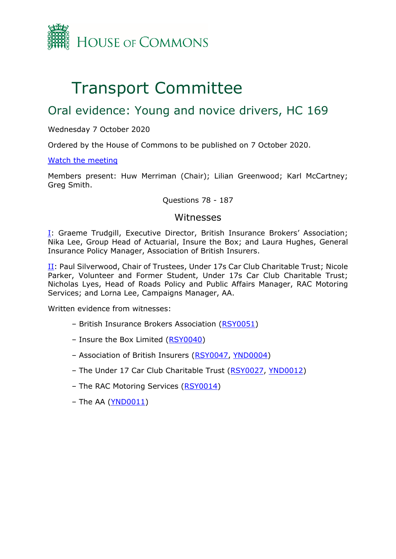

# Transport Committee

# Oral evidence: Young and novice drivers, HC 169

Wednesday 7 October 2020

Ordered by the House of Commons to be published on 7 October 2020.

[Watch the meeting](https://www.parliamentlive.tv/Event/Index/f57b1034-dc4e-476c-8a9a-d8972bd05a2e)

Members present: Huw Merriman (Chair); Lilian Greenwood; Karl McCartney; Greg Smith.

#### Questions 78 - 187

### Witnesses

[I:](#page-1-0) Graeme Trudgill, Executive Director, British Insurance Brokers' Association; Nika Lee, Group Head of Actuarial, Insure the Box; and Laura Hughes, General Insurance Policy Manager, Association of British Insurers.

[II:](#page-20-0) Paul Silverwood, Chair of Trustees, Under 17s Car Club Charitable Trust; Nicole Parker, Volunteer and Former Student, Under 17s Car Club Charitable Trust; Nicholas Lyes, Head of Roads Policy and Public Affairs Manager, RAC Motoring Services; and Lorna Lee, Campaigns Manager, AA.

Written evidence from witnesses:

- British Insurance Brokers Association [\(RSY0051\)](http://data.parliament.uk/writtenevidence/committeeevidence.svc/evidencedocument/transport-committee/road-safety-young-and-novice-drivers/written/104880.pdf)
- Insure the Box Limited [\(RSY0040\)](http://data.parliament.uk/writtenevidence/committeeevidence.svc/evidencedocument/transport-committee/road-safety-young-and-novice-drivers/written/104829.pdf)
- Association of British Insurers [\(RSY0047,](http://data.parliament.uk/writtenevidence/committeeevidence.svc/evidencedocument/transport-committee/road-safety-young-and-novice-drivers/written/104865.pdf) [YND0004\)](https://committees.parliament.uk/writtenevidence/1332/pdf/)
- The Under 17 Car Club Charitable Trust [\(RSY0027,](http://data.parliament.uk/writtenevidence/committeeevidence.svc/evidencedocument/transport-committee/road-safety-young-and-novice-drivers/written/104751.pdf) [YND0012\)](https://committees.parliament.uk/writtenevidence/10203/pdf/)
- The RAC Motoring Services [\(RSY0014\)](http://data.parliament.uk/writtenevidence/committeeevidence.svc/evidencedocument/transport-committee/road-safety-young-and-novice-drivers/written/104444.pdf)
- The AA [\(YND0011\)](https://committees.parliament.uk/writtenevidence/8225/pdf/)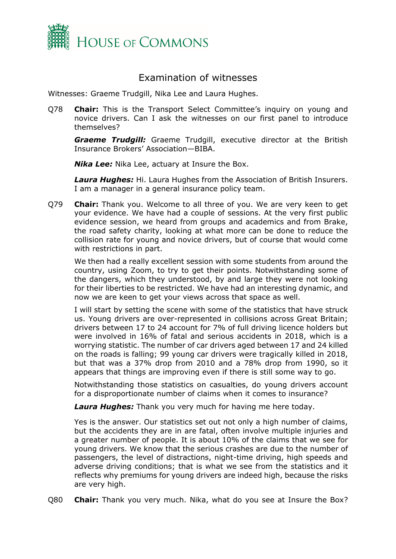

# Examination of witnesses

<span id="page-1-0"></span>Witnesses: Graeme Trudgill, Nika Lee and Laura Hughes.

Q78 **Chair:** This is the Transport Select Committee's inquiry on young and novice drivers. Can I ask the witnesses on our first panel to introduce themselves?

**Graeme Trudgill:** Graeme Trudgill, executive director at the British Insurance Brokers' Association—BIBA.

*Nika Lee:* Nika Lee, actuary at Insure the Box.

*Laura Hughes:* Hi. Laura Hughes from the Association of British Insurers. I am a manager in a general insurance policy team.

Q79 **Chair:** Thank you. Welcome to all three of you. We are very keen to get your evidence. We have had a couple of sessions. At the very first public evidence session, we heard from groups and academics and from Brake, the road safety charity, looking at what more can be done to reduce the collision rate for young and novice drivers, but of course that would come with restrictions in part.

We then had a really excellent session with some students from around the country, using Zoom, to try to get their points. Notwithstanding some of the dangers, which they understood, by and large they were not looking for their liberties to be restricted. We have had an interesting dynamic, and now we are keen to get your views across that space as well.

I will start by setting the scene with some of the statistics that have struck us. Young drivers are over-represented in collisions across Great Britain; drivers between 17 to 24 account for 7% of full driving licence holders but were involved in 16% of fatal and serious accidents in 2018, which is a worrying statistic. The number of car drivers aged between 17 and 24 killed on the roads is falling; 99 young car drivers were tragically killed in 2018, but that was a 37% drop from 2010 and a 78% drop from 1990, so it appears that things are improving even if there is still some way to go.

Notwithstanding those statistics on casualties, do young drivers account for a disproportionate number of claims when it comes to insurance?

*Laura Hughes:* Thank you very much for having me here today.

Yes is the answer. Our statistics set out not only a high number of claims, but the accidents they are in are fatal, often involve multiple injuries and a greater number of people. It is about 10% of the claims that we see for young drivers. We know that the serious crashes are due to the number of passengers, the level of distractions, night-time driving, high speeds and adverse driving conditions; that is what we see from the statistics and it reflects why premiums for young drivers are indeed high, because the risks are very high.

Q80 **Chair:** Thank you very much. Nika, what do you see at Insure the Box?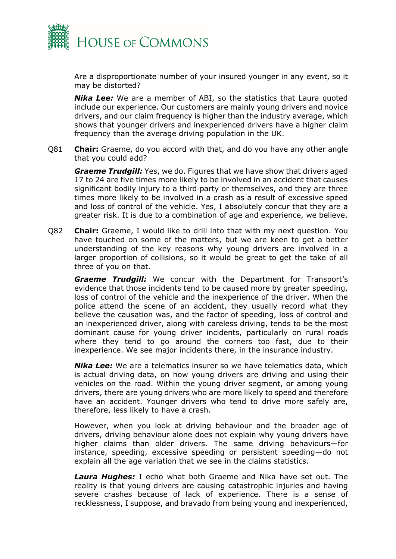

Are a disproportionate number of your insured younger in any event, so it may be distorted?

*Nika Lee:* We are a member of ABI, so the statistics that Laura quoted include our experience. Our customers are mainly young drivers and novice drivers, and our claim frequency is higher than the industry average, which shows that younger drivers and inexperienced drivers have a higher claim frequency than the average driving population in the UK.

Q81 **Chair:** Graeme, do you accord with that, and do you have any other angle that you could add?

*Graeme Trudgill:* Yes, we do. Figures that we have show that drivers aged 17 to 24 are five times more likely to be involved in an accident that causes significant bodily injury to a third party or themselves, and they are three times more likely to be involved in a crash as a result of excessive speed and loss of control of the vehicle. Yes, I absolutely concur that they are a greater risk. It is due to a combination of age and experience, we believe.

Q82 **Chair:** Graeme, I would like to drill into that with my next question. You have touched on some of the matters, but we are keen to get a better understanding of the key reasons why young drivers are involved in a larger proportion of collisions, so it would be great to get the take of all three of you on that.

*Graeme Trudgill:* We concur with the Department for Transport's evidence that those incidents tend to be caused more by greater speeding, loss of control of the vehicle and the inexperience of the driver. When the police attend the scene of an accident, they usually record what they believe the causation was, and the factor of speeding, loss of control and an inexperienced driver, along with careless driving, tends to be the most dominant cause for young driver incidents, particularly on rural roads where they tend to go around the corners too fast, due to their inexperience. We see major incidents there, in the insurance industry.

**Nika Lee:** We are a telematics insurer so we have telematics data, which is actual driving data, on how young drivers are driving and using their vehicles on the road. Within the young driver segment, or among young drivers, there are young drivers who are more likely to speed and therefore have an accident. Younger drivers who tend to drive more safely are, therefore, less likely to have a crash.

However, when you look at driving behaviour and the broader age of drivers, driving behaviour alone does not explain why young drivers have higher claims than older drivers. The same driving behaviours—for instance, speeding, excessive speeding or persistent speeding—do not explain all the age variation that we see in the claims statistics.

*Laura Hughes:* I echo what both Graeme and Nika have set out. The reality is that young drivers are causing catastrophic injuries and having severe crashes because of lack of experience. There is a sense of recklessness, I suppose, and bravado from being young and inexperienced,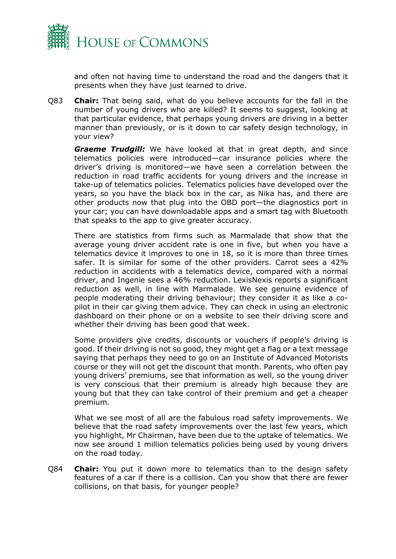

and often not having time to understand the road and the dangers that it presents when they have just learned to drive.

Q83 **Chair:** That being said, what do you believe accounts for the fall in the number of young drivers who are killed? It seems to suggest, looking at that particular evidence, that perhaps young drivers are driving in a better manner than previously, or is it down to car safety design technology, in your view?

*Graeme Trudgill:* We have looked at that in great depth, and since telematics policies were introduced—car insurance policies where the driver's driving is monitored—we have seen a correlation between the reduction in road traffic accidents for young drivers and the increase in take-up of telematics policies. Telematics policies have developed over the years, so you have the black box in the car, as Nika has, and there are other products now that plug into the OBD port—the diagnostics port in your car; you can have downloadable apps and a smart tag with Bluetooth that speaks to the app to give greater accuracy.

There are statistics from firms such as Marmalade that show that the average young driver accident rate is one in five, but when you have a telematics device it improves to one in 18, so it is more than three times safer. It is similar for some of the other providers. Carrot sees a 42% reduction in accidents with a telematics device, compared with a normal driver, and Ingenie sees a 46% reduction. LexisNexis reports a significant reduction as well, in line with Marmalade. We see genuine evidence of people moderating their driving behaviour; they consider it as like a copilot in their car giving them advice. They can check in using an electronic dashboard on their phone or on a website to see their driving score and whether their driving has been good that week.

Some providers give credits, discounts or vouchers if people's driving is good. If their driving is not so good, they might get a flag or a text message saying that perhaps they need to go on an Institute of Advanced Motorists course or they will not get the discount that month. Parents, who often pay young drivers' premiums, see that information as well, so the young driver is very conscious that their premium is already high because they are young but that they can take control of their premium and get a cheaper premium.

What we see most of all are the fabulous road safety improvements. We believe that the road safety improvements over the last few years, which you highlight, Mr Chairman, have been due to the uptake of telematics. We now see around 1 million telematics policies being used by young drivers on the road today.

Q84 **Chair:** You put it down more to telematics than to the design safety features of a car if there is a collision. Can you show that there are fewer collisions, on that basis, for younger people?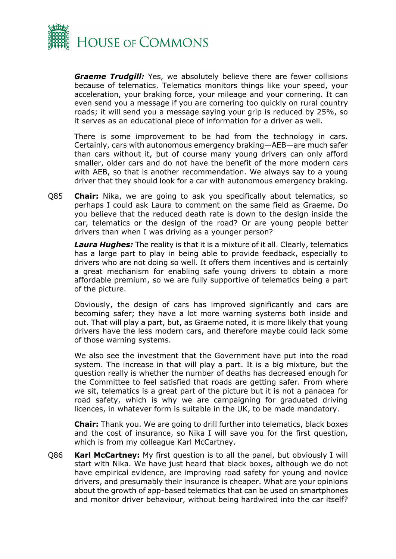

*Graeme Trudgill:* Yes, we absolutely believe there are fewer collisions because of telematics. Telematics monitors things like your speed, your acceleration, your braking force, your mileage and your cornering. It can even send you a message if you are cornering too quickly on rural country roads; it will send you a message saying your grip is reduced by 25%, so it serves as an educational piece of information for a driver as well.

There is some improvement to be had from the technology in cars. Certainly, cars with autonomous emergency braking—AEB—are much safer than cars without it, but of course many young drivers can only afford smaller, older cars and do not have the benefit of the more modern cars with AEB, so that is another recommendation. We always say to a young driver that they should look for a car with autonomous emergency braking.

Q85 **Chair:** Nika, we are going to ask you specifically about telematics, so perhaps I could ask Laura to comment on the same field as Graeme. Do you believe that the reduced death rate is down to the design inside the car, telematics or the design of the road? Or are young people better drivers than when I was driving as a younger person?

*Laura Hughes:* The reality is that it is a mixture of it all. Clearly, telematics has a large part to play in being able to provide feedback, especially to drivers who are not doing so well. It offers them incentives and is certainly a great mechanism for enabling safe young drivers to obtain a more affordable premium, so we are fully supportive of telematics being a part of the picture.

Obviously, the design of cars has improved significantly and cars are becoming safer; they have a lot more warning systems both inside and out. That will play a part, but, as Graeme noted, it is more likely that young drivers have the less modern cars, and therefore maybe could lack some of those warning systems.

We also see the investment that the Government have put into the road system. The increase in that will play a part. It is a big mixture, but the question really is whether the number of deaths has decreased enough for the Committee to feel satisfied that roads are getting safer. From where we sit, telematics is a great part of the picture but it is not a panacea for road safety, which is why we are campaigning for graduated driving licences, in whatever form is suitable in the UK, to be made mandatory.

**Chair:** Thank you. We are going to drill further into telematics, black boxes and the cost of insurance, so Nika I will save you for the first question, which is from my colleague Karl McCartney.

Q86 **Karl McCartney:** My first question is to all the panel, but obviously I will start with Nika. We have just heard that black boxes, although we do not have empirical evidence, are improving road safety for young and novice drivers, and presumably their insurance is cheaper. What are your opinions about the growth of app-based telematics that can be used on smartphones and monitor driver behaviour, without being hardwired into the car itself?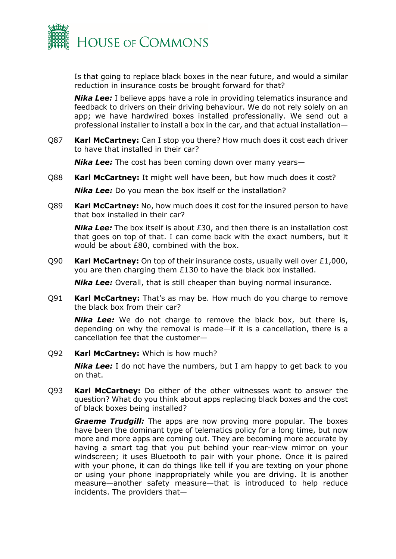

Is that going to replace black boxes in the near future, and would a similar reduction in insurance costs be brought forward for that?

*Nika Lee:* I believe apps have a role in providing telematics insurance and feedback to drivers on their driving behaviour. We do not rely solely on an app; we have hardwired boxes installed professionally. We send out a professional installer to install a box in the car, and that actual installation—

Q87 **Karl McCartney:** Can I stop you there? How much does it cost each driver to have that installed in their car?

*Nika Lee:* The cost has been coming down over many years—

Q88 **Karl McCartney:** It might well have been, but how much does it cost?

*Nika Lee:* Do you mean the box itself or the installation?

Q89 **Karl McCartney:** No, how much does it cost for the insured person to have that box installed in their car?

*Nika Lee:* The box itself is about £30, and then there is an installation cost that goes on top of that. I can come back with the exact numbers, but it would be about £80, combined with the box.

Q90 **Karl McCartney:** On top of their insurance costs, usually well over £1,000, you are then charging them £130 to have the black box installed.

*Nika Lee:* Overall, that is still cheaper than buying normal insurance.

Q91 **Karl McCartney:** That's as may be. How much do you charge to remove the black box from their car?

*Nika Lee:* We do not charge to remove the black box, but there is, depending on why the removal is made—if it is a cancellation, there is a cancellation fee that the customer—

Q92 **Karl McCartney:** Which is how much?

**Nika Lee:** I do not have the numbers, but I am happy to get back to you on that.

Q93 **Karl McCartney:** Do either of the other witnesses want to answer the question? What do you think about apps replacing black boxes and the cost of black boxes being installed?

*Graeme Trudgill:* The apps are now proving more popular. The boxes have been the dominant type of telematics policy for a long time, but now more and more apps are coming out. They are becoming more accurate by having a smart tag that you put behind your rear-view mirror on your windscreen; it uses Bluetooth to pair with your phone. Once it is paired with your phone, it can do things like tell if you are texting on your phone or using your phone inappropriately while you are driving. It is another measure—another safety measure—that is introduced to help reduce incidents. The providers that—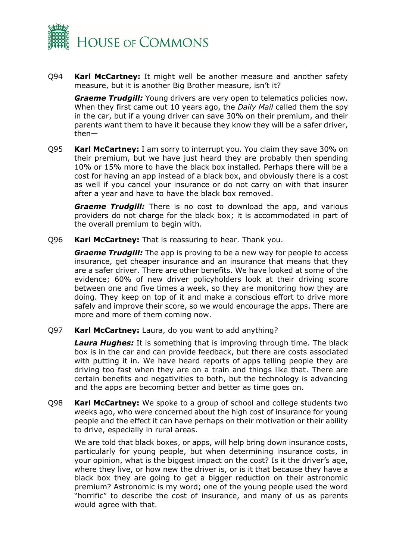

Q94 **Karl McCartney:** It might well be another measure and another safety measure, but it is another Big Brother measure, isn't it?

*Graeme Trudgill:* Young drivers are very open to telematics policies now. When they first came out 10 years ago, the *Daily Mail* called them the spy in the car, but if a young driver can save 30% on their premium, and their parents want them to have it because they know they will be a safer driver, then—

Q95 **Karl McCartney:** I am sorry to interrupt you. You claim they save 30% on their premium, but we have just heard they are probably then spending 10% or 15% more to have the black box installed. Perhaps there will be a cost for having an app instead of a black box, and obviously there is a cost as well if you cancel your insurance or do not carry on with that insurer after a year and have to have the black box removed.

*Graeme Trudgill:* There is no cost to download the app, and various providers do not charge for the black box; it is accommodated in part of the overall premium to begin with.

Q96 **Karl McCartney:** That is reassuring to hear. Thank you.

*Graeme Trudgill:* The app is proving to be a new way for people to access insurance, get cheaper insurance and an insurance that means that they are a safer driver. There are other benefits. We have looked at some of the evidence; 60% of new driver policyholders look at their driving score between one and five times a week, so they are monitoring how they are doing. They keep on top of it and make a conscious effort to drive more safely and improve their score, so we would encourage the apps. There are more and more of them coming now.

#### Q97 **Karl McCartney:** Laura, do you want to add anything?

*Laura Hughes:* It is something that is improving through time. The black box is in the car and can provide feedback, but there are costs associated with putting it in. We have heard reports of apps telling people they are driving too fast when they are on a train and things like that. There are certain benefits and negativities to both, but the technology is advancing and the apps are becoming better and better as time goes on.

Q98 **Karl McCartney:** We spoke to a group of school and college students two weeks ago, who were concerned about the high cost of insurance for young people and the effect it can have perhaps on their motivation or their ability to drive, especially in rural areas.

We are told that black boxes, or apps, will help bring down insurance costs, particularly for young people, but when determining insurance costs, in your opinion, what is the biggest impact on the cost? Is it the driver's age, where they live, or how new the driver is, or is it that because they have a black box they are going to get a bigger reduction on their astronomic premium? Astronomic is my word; one of the young people used the word "horrific" to describe the cost of insurance, and many of us as parents would agree with that.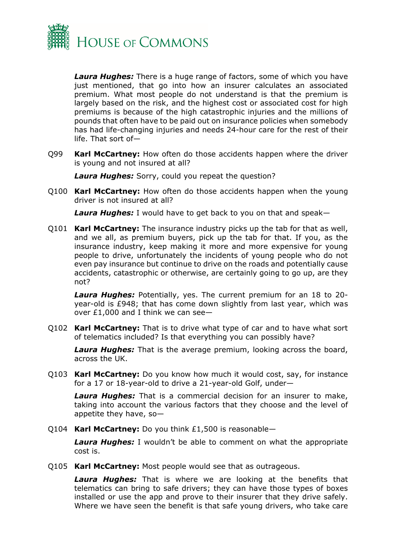

*Laura Hughes:* There is a huge range of factors, some of which you have just mentioned, that go into how an insurer calculates an associated premium. What most people do not understand is that the premium is largely based on the risk, and the highest cost or associated cost for high premiums is because of the high catastrophic injuries and the millions of pounds that often have to be paid out on insurance policies when somebody has had life-changing injuries and needs 24-hour care for the rest of their life. That sort of—

Q99 **Karl McCartney:** How often do those accidents happen where the driver is young and not insured at all?

*Laura Hughes:* Sorry, could you repeat the question?

Q100 **Karl McCartney:** How often do those accidents happen when the young driver is not insured at all?

*Laura Hughes:* I would have to get back to you on that and speak—

Q101 **Karl McCartney:** The insurance industry picks up the tab for that as well, and we all, as premium buyers, pick up the tab for that. If you, as the insurance industry, keep making it more and more expensive for young people to drive, unfortunately the incidents of young people who do not even pay insurance but continue to drive on the roads and potentially cause accidents, catastrophic or otherwise, are certainly going to go up, are they not?

*Laura Hughes:* Potentially, yes. The current premium for an 18 to 20 year-old is £948; that has come down slightly from last year, which was over £1,000 and I think we can see—

Q102 **Karl McCartney:** That is to drive what type of car and to have what sort of telematics included? Is that everything you can possibly have?

*Laura Hughes:* That is the average premium, looking across the board, across the UK.

Q103 **Karl McCartney:** Do you know how much it would cost, say, for instance for a 17 or 18-year-old to drive a 21-year-old Golf, under—

*Laura Hughes:* That is a commercial decision for an insurer to make, taking into account the various factors that they choose and the level of appetite they have, so—

Q104 **Karl McCartney:** Do you think £1,500 is reasonable—

*Laura Hughes:* I wouldn't be able to comment on what the appropriate cost is.

Q105 **Karl McCartney:** Most people would see that as outrageous.

*Laura Hughes:* That is where we are looking at the benefits that telematics can bring to safe drivers; they can have those types of boxes installed or use the app and prove to their insurer that they drive safely. Where we have seen the benefit is that safe young drivers, who take care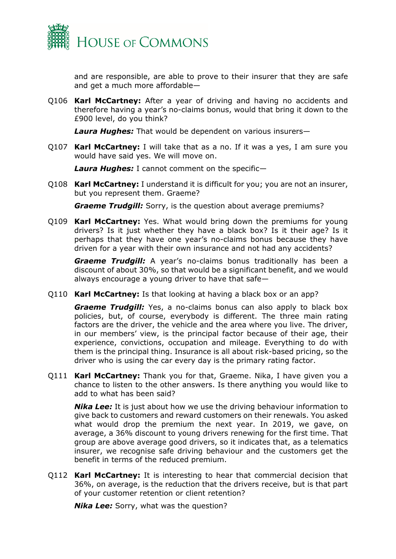

and are responsible, are able to prove to their insurer that they are safe and get a much more affordable—

Q106 **Karl McCartney:** After a year of driving and having no accidents and therefore having a year's no-claims bonus, would that bring it down to the £900 level, do you think?

*Laura Hughes:* That would be dependent on various insurers—

Q107 **Karl McCartney:** I will take that as a no. If it was a yes, I am sure you would have said yes. We will move on.

*Laura Hughes:* I cannot comment on the specific—

Q108 **Karl McCartney:** I understand it is difficult for you; you are not an insurer, but you represent them. Graeme?

*Graeme Trudgill:* Sorry, is the question about average premiums?

Q109 **Karl McCartney:** Yes. What would bring down the premiums for young drivers? Is it just whether they have a black box? Is it their age? Is it perhaps that they have one year's no-claims bonus because they have driven for a year with their own insurance and not had any accidents?

*Graeme Trudgill:* A year's no-claims bonus traditionally has been a discount of about 30%, so that would be a significant benefit, and we would always encourage a young driver to have that safe—

Q110 **Karl McCartney:** Is that looking at having a black box or an app?

*Graeme Trudgill:* Yes, a no-claims bonus can also apply to black box policies, but, of course, everybody is different. The three main rating factors are the driver, the vehicle and the area where you live. The driver, in our members' view, is the principal factor because of their age, their experience, convictions, occupation and mileage. Everything to do with them is the principal thing. Insurance is all about risk-based pricing, so the driver who is using the car every day is the primary rating factor.

Q111 **Karl McCartney:** Thank you for that, Graeme. Nika, I have given you a chance to listen to the other answers. Is there anything you would like to add to what has been said?

**Nika Lee:** It is just about how we use the driving behaviour information to give back to customers and reward customers on their renewals. You asked what would drop the premium the next year. In 2019, we gave, on average, a 36% discount to young drivers renewing for the first time. That group are above average good drivers, so it indicates that, as a telematics insurer, we recognise safe driving behaviour and the customers get the benefit in terms of the reduced premium.

Q112 **Karl McCartney:** It is interesting to hear that commercial decision that 36%, on average, is the reduction that the drivers receive, but is that part of your customer retention or client retention?

**Nika Lee:** Sorry, what was the question?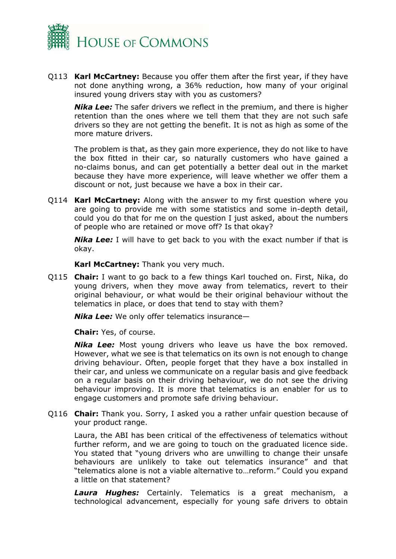

Q113 **Karl McCartney:** Because you offer them after the first year, if they have not done anything wrong, a 36% reduction, how many of your original insured young drivers stay with you as customers?

*Nika Lee:* The safer drivers we reflect in the premium, and there is higher retention than the ones where we tell them that they are not such safe drivers so they are not getting the benefit. It is not as high as some of the more mature drivers.

The problem is that, as they gain more experience, they do not like to have the box fitted in their car, so naturally customers who have gained a no-claims bonus, and can get potentially a better deal out in the market because they have more experience, will leave whether we offer them a discount or not, just because we have a box in their car.

Q114 **Karl McCartney:** Along with the answer to my first question where you are going to provide me with some statistics and some in-depth detail, could you do that for me on the question I just asked, about the numbers of people who are retained or move off? Is that okay?

**Nika Lee:** I will have to get back to you with the exact number if that is okay.

**Karl McCartney:** Thank you very much.

Q115 **Chair:** I want to go back to a few things Karl touched on. First, Nika, do young drivers, when they move away from telematics, revert to their original behaviour, or what would be their original behaviour without the telematics in place, or does that tend to stay with them?

*Nika Lee:* We only offer telematics insurance—

**Chair:** Yes, of course.

*Nika Lee:* Most young drivers who leave us have the box removed. However, what we see is that telematics on its own is not enough to change driving behaviour. Often, people forget that they have a box installed in their car, and unless we communicate on a regular basis and give feedback on a regular basis on their driving behaviour, we do not see the driving behaviour improving. It is more that telematics is an enabler for us to engage customers and promote safe driving behaviour.

Q116 **Chair:** Thank you. Sorry, I asked you a rather unfair question because of your product range.

Laura, the ABI has been critical of the effectiveness of telematics without further reform, and we are going to touch on the graduated licence side. You stated that "young drivers who are unwilling to change their unsafe behaviours are unlikely to take out telematics insurance" and that "telematics alone is not a viable alternative to…reform." Could you expand a little on that statement?

*Laura Hughes:* Certainly. Telematics is a great mechanism, a technological advancement, especially for young safe drivers to obtain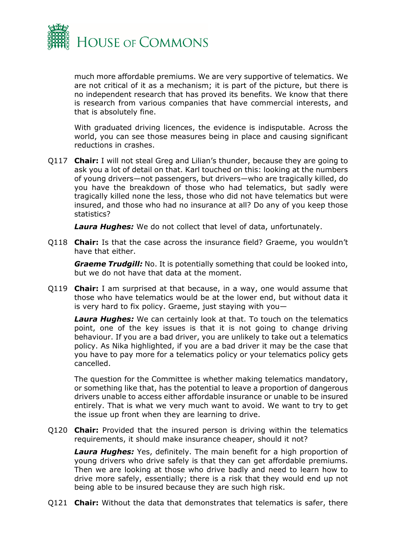

much more affordable premiums. We are very supportive of telematics. We are not critical of it as a mechanism; it is part of the picture, but there is no independent research that has proved its benefits. We know that there is research from various companies that have commercial interests, and that is absolutely fine.

With graduated driving licences, the evidence is indisputable. Across the world, you can see those measures being in place and causing significant reductions in crashes.

Q117 **Chair:** I will not steal Greg and Lilian's thunder, because they are going to ask you a lot of detail on that. Karl touched on this: looking at the numbers of young drivers—not passengers, but drivers—who are tragically killed, do you have the breakdown of those who had telematics, but sadly were tragically killed none the less, those who did not have telematics but were insured, and those who had no insurance at all? Do any of you keep those statistics?

*Laura Hughes:* We do not collect that level of data, unfortunately.

Q118 **Chair:** Is that the case across the insurance field? Graeme, you wouldn't have that either.

*Graeme Trudgill:* No. It is potentially something that could be looked into, but we do not have that data at the moment.

Q119 **Chair:** I am surprised at that because, in a way, one would assume that those who have telematics would be at the lower end, but without data it is very hard to fix policy. Graeme, just staying with you—

*Laura Hughes:* We can certainly look at that. To touch on the telematics point, one of the key issues is that it is not going to change driving behaviour. If you are a bad driver, you are unlikely to take out a telematics policy. As Nika highlighted, if you are a bad driver it may be the case that you have to pay more for a telematics policy or your telematics policy gets cancelled.

The question for the Committee is whether making telematics mandatory, or something like that, has the potential to leave a proportion of dangerous drivers unable to access either affordable insurance or unable to be insured entirely. That is what we very much want to avoid. We want to try to get the issue up front when they are learning to drive.

Q120 **Chair:** Provided that the insured person is driving within the telematics requirements, it should make insurance cheaper, should it not?

*Laura Hughes:* Yes, definitely. The main benefit for a high proportion of young drivers who drive safely is that they can get affordable premiums. Then we are looking at those who drive badly and need to learn how to drive more safely, essentially; there is a risk that they would end up not being able to be insured because they are such high risk.

Q121 **Chair:** Without the data that demonstrates that telematics is safer, there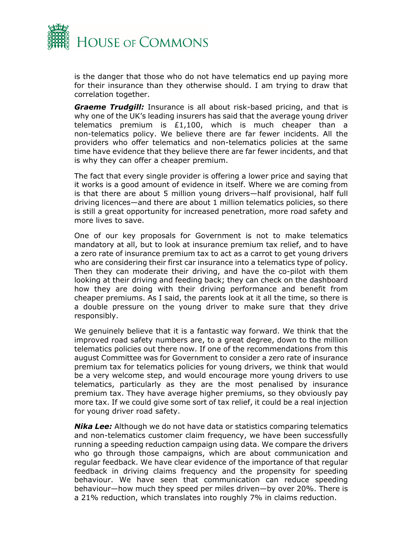

is the danger that those who do not have telematics end up paying more for their insurance than they otherwise should. I am trying to draw that correlation together.

*Graeme Trudgill:* Insurance is all about risk-based pricing, and that is why one of the UK's leading insurers has said that the average young driver telematics premium is  $£1,100$ , which is much cheaper than a non-telematics policy. We believe there are far fewer incidents. All the providers who offer telematics and non-telematics policies at the same time have evidence that they believe there are far fewer incidents, and that is why they can offer a cheaper premium.

The fact that every single provider is offering a lower price and saying that it works is a good amount of evidence in itself. Where we are coming from is that there are about 5 million young drivers—half provisional, half full driving licences—and there are about 1 million telematics policies, so there is still a great opportunity for increased penetration, more road safety and more lives to save.

One of our key proposals for Government is not to make telematics mandatory at all, but to look at insurance premium tax relief, and to have a zero rate of insurance premium tax to act as a carrot to get young drivers who are considering their first car insurance into a telematics type of policy. Then they can moderate their driving, and have the co-pilot with them looking at their driving and feeding back; they can check on the dashboard how they are doing with their driving performance and benefit from cheaper premiums. As I said, the parents look at it all the time, so there is a double pressure on the young driver to make sure that they drive responsibly.

We genuinely believe that it is a fantastic way forward. We think that the improved road safety numbers are, to a great degree, down to the million telematics policies out there now. If one of the recommendations from this august Committee was for Government to consider a zero rate of insurance premium tax for telematics policies for young drivers, we think that would be a very welcome step, and would encourage more young drivers to use telematics, particularly as they are the most penalised by insurance premium tax. They have average higher premiums, so they obviously pay more tax. If we could give some sort of tax relief, it could be a real injection for young driver road safety.

*Nika Lee:* Although we do not have data or statistics comparing telematics and non-telematics customer claim frequency, we have been successfully running a speeding reduction campaign using data. We compare the drivers who go through those campaigns, which are about communication and regular feedback. We have clear evidence of the importance of that regular feedback in driving claims frequency and the propensity for speeding behaviour. We have seen that communication can reduce speeding behaviour—how much they speed per miles driven—by over 20%. There is a 21% reduction, which translates into roughly 7% in claims reduction.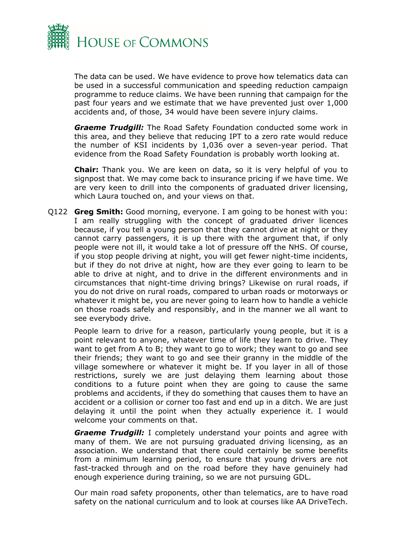

The data can be used. We have evidence to prove how telematics data can be used in a successful communication and speeding reduction campaign programme to reduce claims. We have been running that campaign for the past four years and we estimate that we have prevented just over 1,000 accidents and, of those, 34 would have been severe injury claims.

**Graeme Trudgill:** The Road Safety Foundation conducted some work in this area, and they believe that reducing IPT to a zero rate would reduce the number of KSI incidents by 1,036 over a seven-year period. That evidence from the Road Safety Foundation is probably worth looking at.

**Chair:** Thank you. We are keen on data, so it is very helpful of you to signpost that. We may come back to insurance pricing if we have time. We are very keen to drill into the components of graduated driver licensing, which Laura touched on, and your views on that.

Q122 **Greg Smith:** Good morning, everyone. I am going to be honest with you: I am really struggling with the concept of graduated driver licences because, if you tell a young person that they cannot drive at night or they cannot carry passengers, it is up there with the argument that, if only people were not ill, it would take a lot of pressure off the NHS. Of course, if you stop people driving at night, you will get fewer night-time incidents, but if they do not drive at night, how are they ever going to learn to be able to drive at night, and to drive in the different environments and in circumstances that night-time driving brings? Likewise on rural roads, if you do not drive on rural roads, compared to urban roads or motorways or whatever it might be, you are never going to learn how to handle a vehicle on those roads safely and responsibly, and in the manner we all want to see everybody drive.

People learn to drive for a reason, particularly young people, but it is a point relevant to anyone, whatever time of life they learn to drive. They want to get from A to B; they want to go to work; they want to go and see their friends; they want to go and see their granny in the middle of the village somewhere or whatever it might be. If you layer in all of those restrictions, surely we are just delaying them learning about those conditions to a future point when they are going to cause the same problems and accidents, if they do something that causes them to have an accident or a collision or corner too fast and end up in a ditch. We are just delaying it until the point when they actually experience it. I would welcome your comments on that.

*Graeme Trudgill: I completely understand your points and agree with* many of them. We are not pursuing graduated driving licensing, as an association. We understand that there could certainly be some benefits from a minimum learning period, to ensure that young drivers are not fast-tracked through and on the road before they have genuinely had enough experience during training, so we are not pursuing GDL.

Our main road safety proponents, other than telematics, are to have road safety on the national curriculum and to look at courses like AA DriveTech.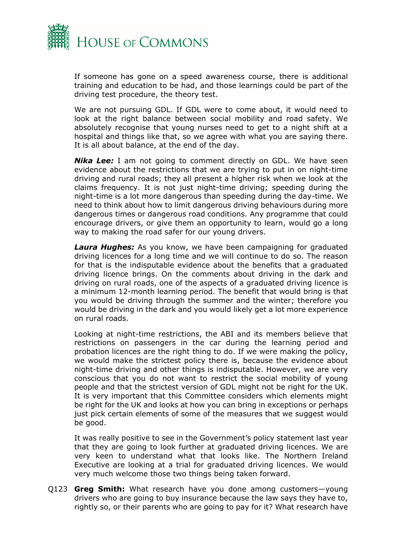

If someone has gone on a speed awareness course, there is additional training and education to be had, and those learnings could be part of the driving test procedure, the theory test.

We are not pursuing GDL. If GDL were to come about, it would need to look at the right balance between social mobility and road safety. We absolutely recognise that young nurses need to get to a night shift at a hospital and things like that, so we agree with what you are saying there. It is all about balance, at the end of the day.

**Nika Lee:** I am not going to comment directly on GDL. We have seen evidence about the restrictions that we are trying to put in on night-time driving and rural roads; they all present a higher risk when we look at the claims frequency. It is not just night-time driving; speeding during the night-time is a lot more dangerous than speeding during the day-time. We need to think about how to limit dangerous driving behaviours during more dangerous times or dangerous road conditions. Any programme that could encourage drivers, or give them an opportunity to learn, would go a long way to making the road safer for our young drivers.

*Laura Hughes:* As you know, we have been campaigning for graduated driving licences for a long time and we will continue to do so. The reason for that is the indisputable evidence about the benefits that a graduated driving licence brings. On the comments about driving in the dark and driving on rural roads, one of the aspects of a graduated driving licence is a minimum 12-month learning period. The benefit that would bring is that you would be driving through the summer and the winter; therefore you would be driving in the dark and you would likely get a lot more experience on rural roads.

Looking at night-time restrictions, the ABI and its members believe that restrictions on passengers in the car during the learning period and probation licences are the right thing to do. If we were making the policy, we would make the strictest policy there is, because the evidence about night-time driving and other things is indisputable. However, we are very conscious that you do not want to restrict the social mobility of young people and that the strictest version of GDL might not be right for the UK. It is very important that this Committee considers which elements might be right for the UK and looks at how you can bring in exceptions or perhaps just pick certain elements of some of the measures that we suggest would be good.

It was really positive to see in the Government's policy statement last year that they are going to look further at graduated driving licences. We are very keen to understand what that looks like. The Northern Ireland Executive are looking at a trial for graduated driving licences. We would very much welcome those two things being taken forward.

Q123 **Greg Smith:** What research have you done among customers—young drivers who are going to buy insurance because the law says they have to, rightly so, or their parents who are going to pay for it? What research have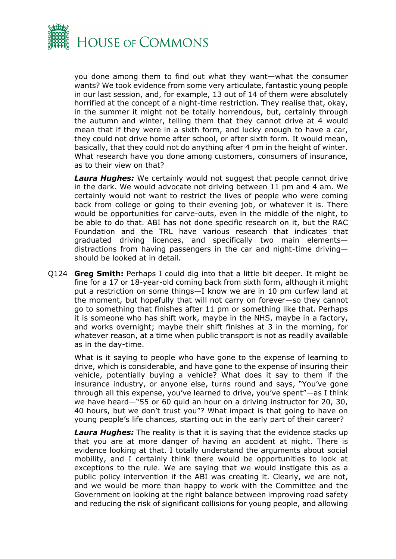

you done among them to find out what they want—what the consumer wants? We took evidence from some very articulate, fantastic young people in our last session, and, for example, 13 out of 14 of them were absolutely horrified at the concept of a night-time restriction. They realise that, okay, in the summer it might not be totally horrendous, but, certainly through the autumn and winter, telling them that they cannot drive at 4 would mean that if they were in a sixth form, and lucky enough to have a car, they could not drive home after school, or after sixth form. It would mean, basically, that they could not do anything after 4 pm in the height of winter. What research have you done among customers, consumers of insurance, as to their view on that?

*Laura Hughes:* We certainly would not suggest that people cannot drive in the dark. We would advocate not driving between 11 pm and 4 am. We certainly would not want to restrict the lives of people who were coming back from college or going to their evening job, or whatever it is. There would be opportunities for carve-outs, even in the middle of the night, to be able to do that. ABI has not done specific research on it, but the RAC Foundation and the TRL have various research that indicates that graduated driving licences, and specifically two main elements distractions from having passengers in the car and night-time driving should be looked at in detail.

Q124 **Greg Smith:** Perhaps I could dig into that a little bit deeper. It might be fine for a 17 or 18-year-old coming back from sixth form, although it might put a restriction on some things—I know we are in 10 pm curfew land at the moment, but hopefully that will not carry on forever—so they cannot go to something that finishes after 11 pm or something like that. Perhaps it is someone who has shift work, maybe in the NHS, maybe in a factory, and works overnight; maybe their shift finishes at 3 in the morning, for whatever reason, at a time when public transport is not as readily available as in the day-time.

What is it saying to people who have gone to the expense of learning to drive, which is considerable, and have gone to the expense of insuring their vehicle, potentially buying a vehicle? What does it say to them if the insurance industry, or anyone else, turns round and says, "You've gone through all this expense, you've learned to drive, you've spent"—as I think we have heard—"55 or 60 quid an hour on a driving instructor for 20, 30, 40 hours, but we don't trust you"? What impact is that going to have on young people's life chances, starting out in the early part of their career?

**Laura Hughes:** The reality is that it is saying that the evidence stacks up that you are at more danger of having an accident at night. There is evidence looking at that. I totally understand the arguments about social mobility, and I certainly think there would be opportunities to look at exceptions to the rule. We are saying that we would instigate this as a public policy intervention if the ABI was creating it. Clearly, we are not, and we would be more than happy to work with the Committee and the Government on looking at the right balance between improving road safety and reducing the risk of significant collisions for young people, and allowing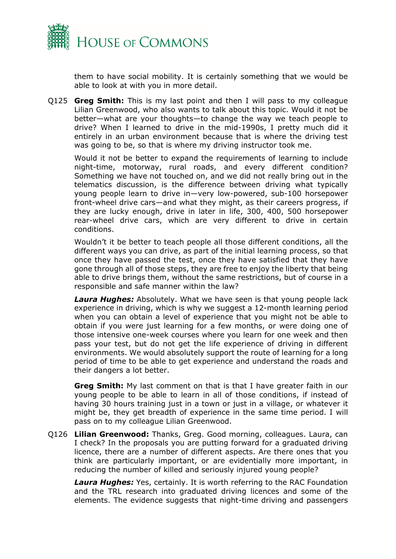

them to have social mobility. It is certainly something that we would be able to look at with you in more detail.

Q125 **Greg Smith:** This is my last point and then I will pass to my colleague Lilian Greenwood, who also wants to talk about this topic. Would it not be better—what are your thoughts—to change the way we teach people to drive? When I learned to drive in the mid-1990s, I pretty much did it entirely in an urban environment because that is where the driving test was going to be, so that is where my driving instructor took me.

Would it not be better to expand the requirements of learning to include night-time, motorway, rural roads, and every different condition? Something we have not touched on, and we did not really bring out in the telematics discussion, is the difference between driving what typically young people learn to drive in—very low-powered, sub-100 horsepower front-wheel drive cars—and what they might, as their careers progress, if they are lucky enough, drive in later in life, 300, 400, 500 horsepower rear-wheel drive cars, which are very different to drive in certain conditions.

Wouldn't it be better to teach people all those different conditions, all the different ways you can drive, as part of the initial learning process, so that once they have passed the test, once they have satisfied that they have gone through all of those steps, they are free to enjoy the liberty that being able to drive brings them, without the same restrictions, but of course in a responsible and safe manner within the law?

*Laura Hughes:* Absolutely. What we have seen is that young people lack experience in driving, which is why we suggest a 12-month learning period when you can obtain a level of experience that you might not be able to obtain if you were just learning for a few months, or were doing one of those intensive one-week courses where you learn for one week and then pass your test, but do not get the life experience of driving in different environments. We would absolutely support the route of learning for a long period of time to be able to get experience and understand the roads and their dangers a lot better.

**Greg Smith:** My last comment on that is that I have greater faith in our young people to be able to learn in all of those conditions, if instead of having 30 hours training just in a town or just in a village, or whatever it might be, they get breadth of experience in the same time period. I will pass on to my colleague Lilian Greenwood.

Q126 **Lilian Greenwood:** Thanks, Greg. Good morning, colleagues. Laura, can I check? In the proposals you are putting forward for a graduated driving licence, there are a number of different aspects. Are there ones that you think are particularly important, or are evidentially more important, in reducing the number of killed and seriously injured young people?

*Laura Hughes:* Yes, certainly. It is worth referring to the RAC Foundation and the TRL research into graduated driving licences and some of the elements. The evidence suggests that night-time driving and passengers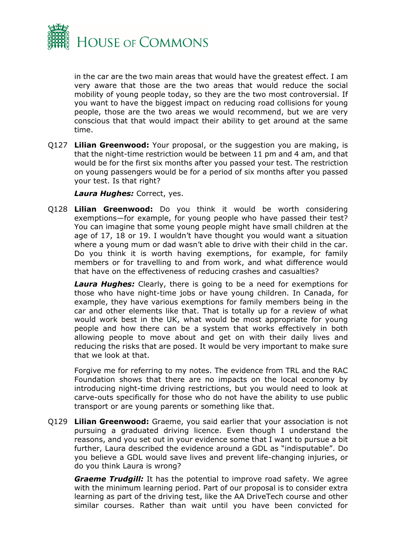

in the car are the two main areas that would have the greatest effect. I am very aware that those are the two areas that would reduce the social mobility of young people today, so they are the two most controversial. If you want to have the biggest impact on reducing road collisions for young people, those are the two areas we would recommend, but we are very conscious that that would impact their ability to get around at the same time.

Q127 **Lilian Greenwood:** Your proposal, or the suggestion you are making, is that the night-time restriction would be between 11 pm and 4 am, and that would be for the first six months after you passed your test. The restriction on young passengers would be for a period of six months after you passed your test. Is that right?

*Laura Hughes:* Correct, yes.

Q128 **Lilian Greenwood:** Do you think it would be worth considering exemptions—for example, for young people who have passed their test? You can imagine that some young people might have small children at the age of 17, 18 or 19. I wouldn't have thought you would want a situation where a young mum or dad wasn't able to drive with their child in the car. Do you think it is worth having exemptions, for example, for family members or for travelling to and from work, and what difference would that have on the effectiveness of reducing crashes and casualties?

*Laura Hughes:* Clearly, there is going to be a need for exemptions for those who have night-time jobs or have young children. In Canada, for example, they have various exemptions for family members being in the car and other elements like that. That is totally up for a review of what would work best in the UK, what would be most appropriate for young people and how there can be a system that works effectively in both allowing people to move about and get on with their daily lives and reducing the risks that are posed. It would be very important to make sure that we look at that.

Forgive me for referring to my notes. The evidence from TRL and the RAC Foundation shows that there are no impacts on the local economy by introducing night-time driving restrictions, but you would need to look at carve-outs specifically for those who do not have the ability to use public transport or are young parents or something like that.

Q129 **Lilian Greenwood:** Graeme, you said earlier that your association is not pursuing a graduated driving licence. Even though I understand the reasons, and you set out in your evidence some that I want to pursue a bit further, Laura described the evidence around a GDL as "indisputable". Do you believe a GDL would save lives and prevent life-changing injuries, or do you think Laura is wrong?

*Graeme Trudgill:* It has the potential to improve road safety. We agree with the minimum learning period. Part of our proposal is to consider extra learning as part of the driving test, like the AA DriveTech course and other similar courses. Rather than wait until you have been convicted for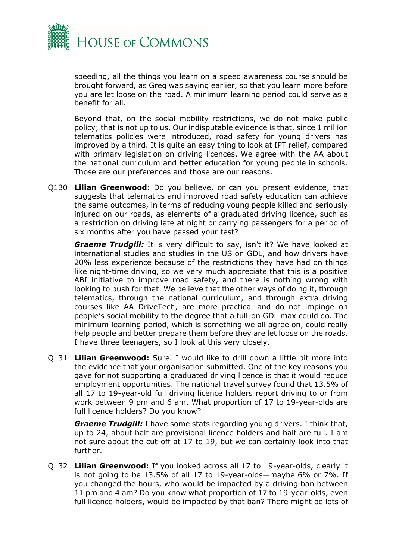

speeding, all the things you learn on a speed awareness course should be brought forward, as Greg was saying earlier, so that you learn more before you are let loose on the road. A minimum learning period could serve as a benefit for all.

Beyond that, on the social mobility restrictions, we do not make public policy; that is not up to us. Our indisputable evidence is that, since 1 million telematics policies were introduced, road safety for young drivers has improved by a third. It is quite an easy thing to look at IPT relief, compared with primary legislation on driving licences. We agree with the AA about the national curriculum and better education for young people in schools. Those are our preferences and those are our reasons.

Q130 **Lilian Greenwood:** Do you believe, or can you present evidence, that suggests that telematics and improved road safety education can achieve the same outcomes, in terms of reducing young people killed and seriously injured on our roads, as elements of a graduated driving licence, such as a restriction on driving late at night or carrying passengers for a period of six months after you have passed your test?

*Graeme Trudgill:* It is very difficult to say, isn't it? We have looked at international studies and studies in the US on GDL, and how drivers have 20% less experience because of the restrictions they have had on things like night-time driving, so we very much appreciate that this is a positive ABI initiative to improve road safety, and there is nothing wrong with looking to push for that. We believe that the other ways of doing it, through telematics, through the national curriculum, and through extra driving courses like AA DriveTech, are more practical and do not impinge on people's social mobility to the degree that a full-on GDL max could do. The minimum learning period, which is something we all agree on, could really help people and better prepare them before they are let loose on the roads. I have three teenagers, so I look at this very closely.

Q131 **Lilian Greenwood:** Sure. I would like to drill down a little bit more into the evidence that your organisation submitted. One of the key reasons you gave for not supporting a graduated driving licence is that it would reduce employment opportunities. The national travel survey found that 13.5% of all 17 to 19-year-old full driving licence holders report driving to or from work between 9 pm and 6 am. What proportion of 17 to 19-year-olds are full licence holders? Do you know?

*Graeme Trudgill:* I have some stats regarding young drivers. I think that, up to 24, about half are provisional licence holders and half are full. I am not sure about the cut-off at 17 to 19, but we can certainly look into that further.

Q132 **Lilian Greenwood:** If you looked across all 17 to 19-year-olds, clearly it is not going to be 13.5% of all 17 to 19-year-olds—maybe 6% or 7%. If you changed the hours, who would be impacted by a driving ban between 11 pm and 4 am? Do you know what proportion of 17 to 19-year-olds, even full licence holders, would be impacted by that ban? There might be lots of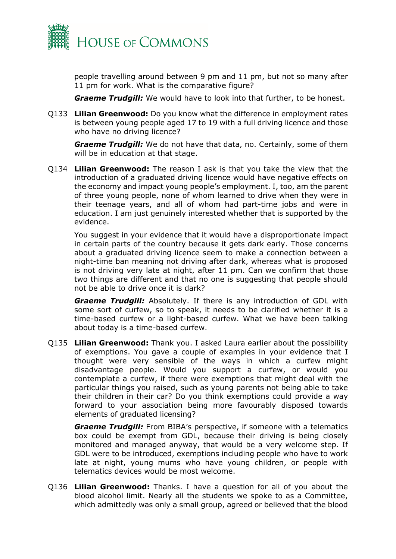

people travelling around between 9 pm and 11 pm, but not so many after 11 pm for work. What is the comparative figure?

*Graeme Trudgill:* We would have to look into that further, to be honest.

Q133 **Lilian Greenwood:** Do you know what the difference in employment rates is between young people aged 17 to 19 with a full driving licence and those who have no driving licence?

*Graeme Trudgill:* We do not have that data, no. Certainly, some of them will be in education at that stage.

Q134 **Lilian Greenwood:** The reason I ask is that you take the view that the introduction of a graduated driving licence would have negative effects on the economy and impact young people's employment. I, too, am the parent of three young people, none of whom learned to drive when they were in their teenage years, and all of whom had part-time jobs and were in education. I am just genuinely interested whether that is supported by the evidence.

You suggest in your evidence that it would have a disproportionate impact in certain parts of the country because it gets dark early. Those concerns about a graduated driving licence seem to make a connection between a night-time ban meaning not driving after dark, whereas what is proposed is not driving very late at night, after 11 pm. Can we confirm that those two things are different and that no one is suggesting that people should not be able to drive once it is dark?

*Graeme Trudgill:* Absolutely. If there is any introduction of GDL with some sort of curfew, so to speak, it needs to be clarified whether it is a time-based curfew or a light-based curfew. What we have been talking about today is a time-based curfew.

Q135 **Lilian Greenwood:** Thank you. I asked Laura earlier about the possibility of exemptions. You gave a couple of examples in your evidence that I thought were very sensible of the ways in which a curfew might disadvantage people. Would you support a curfew, or would you contemplate a curfew, if there were exemptions that might deal with the particular things you raised, such as young parents not being able to take their children in their car? Do you think exemptions could provide a way forward to your association being more favourably disposed towards elements of graduated licensing?

*Graeme Trudgill:* From BIBA's perspective, if someone with a telematics box could be exempt from GDL, because their driving is being closely monitored and managed anyway, that would be a very welcome step. If GDL were to be introduced, exemptions including people who have to work late at night, young mums who have young children, or people with telematics devices would be most welcome.

Q136 **Lilian Greenwood:** Thanks. I have a question for all of you about the blood alcohol limit. Nearly all the students we spoke to as a Committee, which admittedly was only a small group, agreed or believed that the blood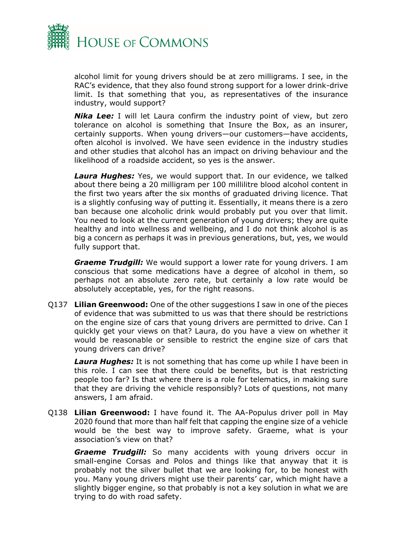

alcohol limit for young drivers should be at zero milligrams. I see, in the RAC's evidence, that they also found strong support for a lower drink-drive limit. Is that something that you, as representatives of the insurance industry, would support?

**Nika Lee:** I will let Laura confirm the industry point of view, but zero tolerance on alcohol is something that Insure the Box, as an insurer, certainly supports. When young drivers—our customers—have accidents, often alcohol is involved. We have seen evidence in the industry studies and other studies that alcohol has an impact on driving behaviour and the likelihood of a roadside accident, so yes is the answer.

*Laura Hughes:* Yes, we would support that. In our evidence, we talked about there being a 20 milligram per 100 millilitre blood alcohol content in the first two years after the six months of graduated driving licence. That is a slightly confusing way of putting it. Essentially, it means there is a zero ban because one alcoholic drink would probably put you over that limit. You need to look at the current generation of young drivers; they are quite healthy and into wellness and wellbeing, and I do not think alcohol is as big a concern as perhaps it was in previous generations, but, yes, we would fully support that.

*Graeme Trudgill:* We would support a lower rate for young drivers. I am conscious that some medications have a degree of alcohol in them, so perhaps not an absolute zero rate, but certainly a low rate would be absolutely acceptable, yes, for the right reasons.

Q137 **Lilian Greenwood:** One of the other suggestions I saw in one of the pieces of evidence that was submitted to us was that there should be restrictions on the engine size of cars that young drivers are permitted to drive. Can I quickly get your views on that? Laura, do you have a view on whether it would be reasonable or sensible to restrict the engine size of cars that young drivers can drive?

*Laura Hughes:* It is not something that has come up while I have been in this role. I can see that there could be benefits, but is that restricting people too far? Is that where there is a role for telematics, in making sure that they are driving the vehicle responsibly? Lots of questions, not many answers, I am afraid.

Q138 **Lilian Greenwood:** I have found it. The AA-Populus driver poll in May 2020 found that more than half felt that capping the engine size of a vehicle would be the best way to improve safety. Graeme, what is your association's view on that?

*Graeme Trudgill:* So many accidents with young drivers occur in small-engine Corsas and Polos and things like that anyway that it is probably not the silver bullet that we are looking for, to be honest with you. Many young drivers might use their parents' car, which might have a slightly bigger engine, so that probably is not a key solution in what we are trying to do with road safety.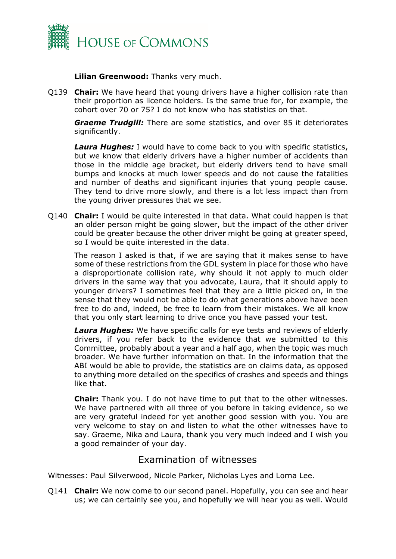

**Lilian Greenwood:** Thanks very much.

Q139 **Chair:** We have heard that young drivers have a higher collision rate than their proportion as licence holders. Is the same true for, for example, the cohort over 70 or 75? I do not know who has statistics on that.

*Graeme Trudgill:* There are some statistics, and over 85 it deteriorates significantly.

**Laura Hughes:** I would have to come back to you with specific statistics, but we know that elderly drivers have a higher number of accidents than those in the middle age bracket, but elderly drivers tend to have small bumps and knocks at much lower speeds and do not cause the fatalities and number of deaths and significant injuries that young people cause. They tend to drive more slowly, and there is a lot less impact than from the young driver pressures that we see.

Q140 **Chair:** I would be quite interested in that data. What could happen is that an older person might be going slower, but the impact of the other driver could be greater because the other driver might be going at greater speed, so I would be quite interested in the data.

The reason I asked is that, if we are saying that it makes sense to have some of these restrictions from the GDL system in place for those who have a disproportionate collision rate, why should it not apply to much older drivers in the same way that you advocate, Laura, that it should apply to younger drivers? I sometimes feel that they are a little picked on, in the sense that they would not be able to do what generations above have been free to do and, indeed, be free to learn from their mistakes. We all know that you only start learning to drive once you have passed your test.

*Laura Hughes:* We have specific calls for eye tests and reviews of elderly drivers, if you refer back to the evidence that we submitted to this Committee, probably about a year and a half ago, when the topic was much broader. We have further information on that. In the information that the ABI would be able to provide, the statistics are on claims data, as opposed to anything more detailed on the specifics of crashes and speeds and things like that.

**Chair:** Thank you. I do not have time to put that to the other witnesses. We have partnered with all three of you before in taking evidence, so we are very grateful indeed for yet another good session with you. You are very welcome to stay on and listen to what the other witnesses have to say. Graeme, Nika and Laura, thank you very much indeed and I wish you a good remainder of your day.

## <span id="page-20-0"></span>Examination of witnesses

Witnesses: Paul Silverwood, Nicole Parker, Nicholas Lyes and Lorna Lee.

Q141 **Chair:** We now come to our second panel. Hopefully, you can see and hear us; we can certainly see you, and hopefully we will hear you as well. Would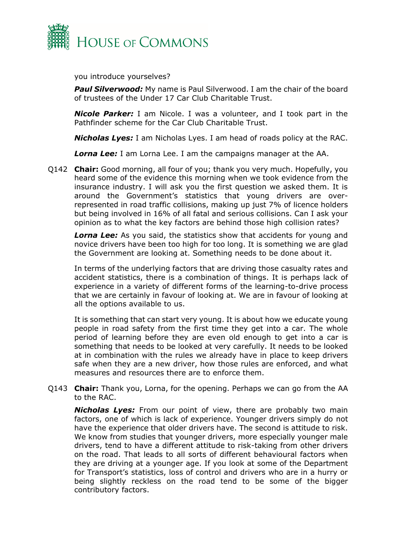

you introduce yourselves?

**Paul Silverwood:** My name is Paul Silverwood. I am the chair of the board of trustees of the Under 17 Car Club Charitable Trust.

*Nicole Parker:* I am Nicole. I was a volunteer, and I took part in the Pathfinder scheme for the Car Club Charitable Trust.

*Nicholas Lyes:* I am Nicholas Lyes. I am head of roads policy at the RAC.

*Lorna Lee:* I am Lorna Lee. I am the campaigns manager at the AA.

Q142 **Chair:** Good morning, all four of you; thank you very much. Hopefully, you heard some of the evidence this morning when we took evidence from the insurance industry. I will ask you the first question we asked them. It is around the Government's statistics that young drivers are overrepresented in road traffic collisions, making up just 7% of licence holders but being involved in 16% of all fatal and serious collisions. Can I ask your opinion as to what the key factors are behind those high collision rates?

**Lorna Lee:** As you said, the statistics show that accidents for young and novice drivers have been too high for too long. It is something we are glad the Government are looking at. Something needs to be done about it.

In terms of the underlying factors that are driving those casualty rates and accident statistics, there is a combination of things. It is perhaps lack of experience in a variety of different forms of the learning-to-drive process that we are certainly in favour of looking at. We are in favour of looking at all the options available to us.

It is something that can start very young. It is about how we educate young people in road safety from the first time they get into a car. The whole period of learning before they are even old enough to get into a car is something that needs to be looked at very carefully. It needs to be looked at in combination with the rules we already have in place to keep drivers safe when they are a new driver, how those rules are enforced, and what measures and resources there are to enforce them.

Q143 **Chair:** Thank you, Lorna, for the opening. Perhaps we can go from the AA to the RAC.

*Nicholas Lyes:* From our point of view, there are probably two main factors, one of which is lack of experience. Younger drivers simply do not have the experience that older drivers have. The second is attitude to risk. We know from studies that younger drivers, more especially younger male drivers, tend to have a different attitude to risk-taking from other drivers on the road. That leads to all sorts of different behavioural factors when they are driving at a younger age. If you look at some of the Department for Transport's statistics, loss of control and drivers who are in a hurry or being slightly reckless on the road tend to be some of the bigger contributory factors.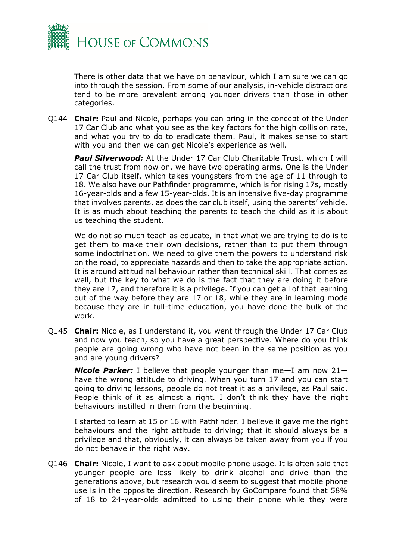

There is other data that we have on behaviour, which I am sure we can go into through the session. From some of our analysis, in-vehicle distractions tend to be more prevalent among younger drivers than those in other categories.

Q144 **Chair:** Paul and Nicole, perhaps you can bring in the concept of the Under 17 Car Club and what you see as the key factors for the high collision rate, and what you try to do to eradicate them. Paul, it makes sense to start with you and then we can get Nicole's experience as well.

*Paul Silverwood:* At the Under 17 Car Club Charitable Trust, which I will call the trust from now on, we have two operating arms. One is the Under 17 Car Club itself, which takes youngsters from the age of 11 through to 18. We also have our Pathfinder programme, which is for rising 17s, mostly 16-year-olds and a few 15-year-olds. It is an intensive five-day programme that involves parents, as does the car club itself, using the parents' vehicle. It is as much about teaching the parents to teach the child as it is about us teaching the student.

We do not so much teach as educate, in that what we are trying to do is to get them to make their own decisions, rather than to put them through some indoctrination. We need to give them the powers to understand risk on the road, to appreciate hazards and then to take the appropriate action. It is around attitudinal behaviour rather than technical skill. That comes as well, but the key to what we do is the fact that they are doing it before they are 17, and therefore it is a privilege. If you can get all of that learning out of the way before they are 17 or 18, while they are in learning mode because they are in full-time education, you have done the bulk of the work.

Q145 **Chair:** Nicole, as I understand it, you went through the Under 17 Car Club and now you teach, so you have a great perspective. Where do you think people are going wrong who have not been in the same position as you and are young drivers?

*Nicole Parker:* I believe that people younger than me—I am now 21 have the wrong attitude to driving. When you turn 17 and you can start going to driving lessons, people do not treat it as a privilege, as Paul said. People think of it as almost a right. I don't think they have the right behaviours instilled in them from the beginning.

I started to learn at 15 or 16 with Pathfinder. I believe it gave me the right behaviours and the right attitude to driving; that it should always be a privilege and that, obviously, it can always be taken away from you if you do not behave in the right way.

Q146 **Chair:** Nicole, I want to ask about mobile phone usage. It is often said that younger people are less likely to drink alcohol and drive than the generations above, but research would seem to suggest that mobile phone use is in the opposite direction. Research by GoCompare found that 58% of 18 to 24-year-olds admitted to using their phone while they were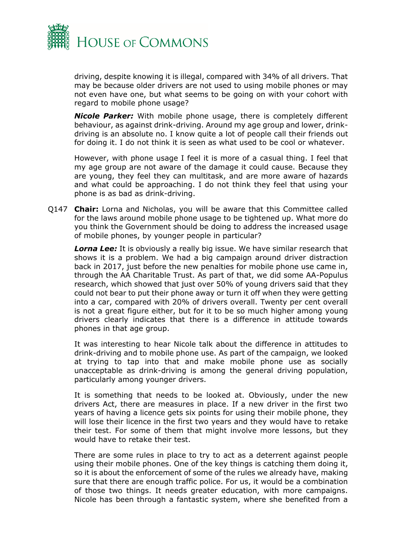

driving, despite knowing it is illegal, compared with 34% of all drivers. That may be because older drivers are not used to using mobile phones or may not even have one, but what seems to be going on with your cohort with regard to mobile phone usage?

*Nicole Parker:* With mobile phone usage, there is completely different behaviour, as against drink-driving. Around my age group and lower, drinkdriving is an absolute no. I know quite a lot of people call their friends out for doing it. I do not think it is seen as what used to be cool or whatever.

However, with phone usage I feel it is more of a casual thing. I feel that my age group are not aware of the damage it could cause. Because they are young, they feel they can multitask, and are more aware of hazards and what could be approaching. I do not think they feel that using your phone is as bad as drink-driving.

Q147 **Chair:** Lorna and Nicholas, you will be aware that this Committee called for the laws around mobile phone usage to be tightened up. What more do you think the Government should be doing to address the increased usage of mobile phones, by younger people in particular?

**Lorna Lee:** It is obviously a really big issue. We have similar research that shows it is a problem. We had a big campaign around driver distraction back in 2017, just before the new penalties for mobile phone use came in, through the AA Charitable Trust. As part of that, we did some AA-Populus research, which showed that just over 50% of young drivers said that they could not bear to put their phone away or turn it off when they were getting into a car, compared with 20% of drivers overall. Twenty per cent overall is not a great figure either, but for it to be so much higher among young drivers clearly indicates that there is a difference in attitude towards phones in that age group.

It was interesting to hear Nicole talk about the difference in attitudes to drink-driving and to mobile phone use. As part of the campaign, we looked at trying to tap into that and make mobile phone use as socially unacceptable as drink-driving is among the general driving population, particularly among younger drivers.

It is something that needs to be looked at. Obviously, under the new drivers Act, there are measures in place. If a new driver in the first two years of having a licence gets six points for using their mobile phone, they will lose their licence in the first two years and they would have to retake their test. For some of them that might involve more lessons, but they would have to retake their test.

There are some rules in place to try to act as a deterrent against people using their mobile phones. One of the key things is catching them doing it, so it is about the enforcement of some of the rules we already have, making sure that there are enough traffic police. For us, it would be a combination of those two things. It needs greater education, with more campaigns. Nicole has been through a fantastic system, where she benefited from a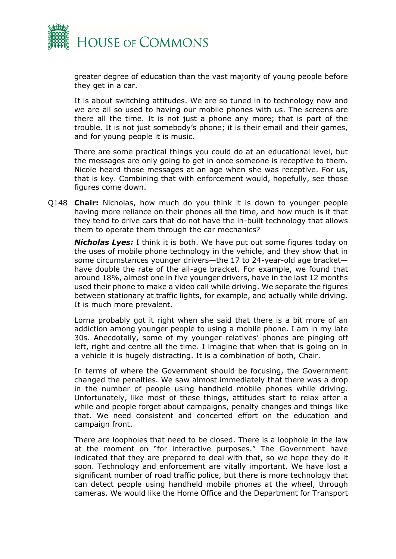

greater degree of education than the vast majority of young people before they get in a car.

It is about switching attitudes. We are so tuned in to technology now and we are all so used to having our mobile phones with us. The screens are there all the time. It is not just a phone any more; that is part of the trouble. It is not just somebody's phone; it is their email and their games, and for young people it is music.

There are some practical things you could do at an educational level, but the messages are only going to get in once someone is receptive to them. Nicole heard those messages at an age when she was receptive. For us, that is key. Combining that with enforcement would, hopefully, see those figures come down.

Q148 **Chair:** Nicholas, how much do you think it is down to younger people having more reliance on their phones all the time, and how much is it that they tend to drive cars that do not have the in-built technology that allows them to operate them through the car mechanics?

*Nicholas Lyes:* I think it is both. We have put out some figures today on the uses of mobile phone technology in the vehicle, and they show that in some circumstances younger drivers—the 17 to 24-year-old age bracket have double the rate of the all-age bracket. For example, we found that around 18%, almost one in five younger drivers, have in the last 12 months used their phone to make a video call while driving. We separate the figures between stationary at traffic lights, for example, and actually while driving. It is much more prevalent.

Lorna probably got it right when she said that there is a bit more of an addiction among younger people to using a mobile phone. I am in my late 30s. Anecdotally, some of my younger relatives' phones are pinging off left, right and centre all the time. I imagine that when that is going on in a vehicle it is hugely distracting. It is a combination of both, Chair.

In terms of where the Government should be focusing, the Government changed the penalties. We saw almost immediately that there was a drop in the number of people using handheld mobile phones while driving. Unfortunately, like most of these things, attitudes start to relax after a while and people forget about campaigns, penalty changes and things like that. We need consistent and concerted effort on the education and campaign front.

There are loopholes that need to be closed. There is a loophole in the law at the moment on "for interactive purposes." The Government have indicated that they are prepared to deal with that, so we hope they do it soon. Technology and enforcement are vitally important. We have lost a significant number of road traffic police, but there is more technology that can detect people using handheld mobile phones at the wheel, through cameras. We would like the Home Office and the Department for Transport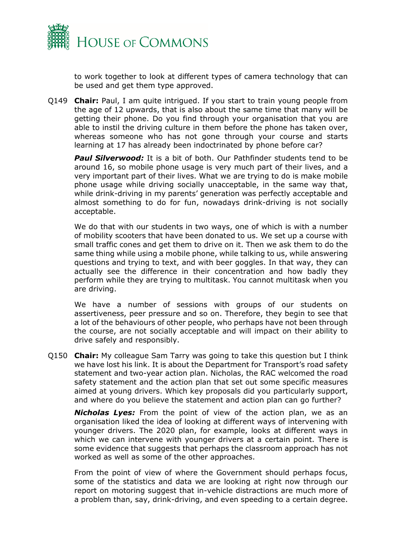

to work together to look at different types of camera technology that can be used and get them type approved.

Q149 **Chair:** Paul, I am quite intrigued. If you start to train young people from the age of 12 upwards, that is also about the same time that many will be getting their phone. Do you find through your organisation that you are able to instil the driving culture in them before the phone has taken over, whereas someone who has not gone through your course and starts learning at 17 has already been indoctrinated by phone before car?

*Paul Silverwood:* It is a bit of both. Our Pathfinder students tend to be around 16, so mobile phone usage is very much part of their lives, and a very important part of their lives. What we are trying to do is make mobile phone usage while driving socially unacceptable, in the same way that, while drink-driving in my parents' generation was perfectly acceptable and almost something to do for fun, nowadays drink-driving is not socially acceptable.

We do that with our students in two ways, one of which is with a number of mobility scooters that have been donated to us. We set up a course with small traffic cones and get them to drive on it. Then we ask them to do the same thing while using a mobile phone, while talking to us, while answering questions and trying to text, and with beer goggles. In that way, they can actually see the difference in their concentration and how badly they perform while they are trying to multitask. You cannot multitask when you are driving.

We have a number of sessions with groups of our students on assertiveness, peer pressure and so on. Therefore, they begin to see that a lot of the behaviours of other people, who perhaps have not been through the course, are not socially acceptable and will impact on their ability to drive safely and responsibly.

Q150 **Chair:** My colleague Sam Tarry was going to take this question but I think we have lost his link. It is about the Department for Transport's road safety statement and two-year action plan. Nicholas, the RAC welcomed the road safety statement and the action plan that set out some specific measures aimed at young drivers. Which key proposals did you particularly support, and where do you believe the statement and action plan can go further?

*Nicholas Lyes:* From the point of view of the action plan, we as an organisation liked the idea of looking at different ways of intervening with younger drivers. The 2020 plan, for example, looks at different ways in which we can intervene with younger drivers at a certain point. There is some evidence that suggests that perhaps the classroom approach has not worked as well as some of the other approaches.

From the point of view of where the Government should perhaps focus, some of the statistics and data we are looking at right now through our report on motoring suggest that in-vehicle distractions are much more of a problem than, say, drink-driving, and even speeding to a certain degree.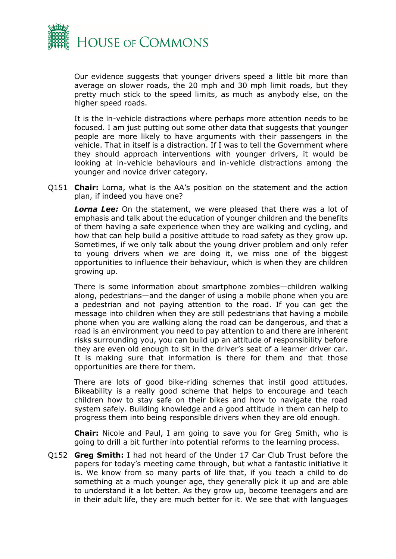

Our evidence suggests that younger drivers speed a little bit more than average on slower roads, the 20 mph and 30 mph limit roads, but they pretty much stick to the speed limits, as much as anybody else, on the higher speed roads.

It is the in-vehicle distractions where perhaps more attention needs to be focused. I am just putting out some other data that suggests that younger people are more likely to have arguments with their passengers in the vehicle. That in itself is a distraction. If I was to tell the Government where they should approach interventions with younger drivers, it would be looking at in-vehicle behaviours and in-vehicle distractions among the younger and novice driver category.

Q151 **Chair:** Lorna, what is the AA's position on the statement and the action plan, if indeed you have one?

*Lorna Lee:* On the statement, we were pleased that there was a lot of emphasis and talk about the education of younger children and the benefits of them having a safe experience when they are walking and cycling, and how that can help build a positive attitude to road safety as they grow up. Sometimes, if we only talk about the young driver problem and only refer to young drivers when we are doing it, we miss one of the biggest opportunities to influence their behaviour, which is when they are children growing up.

There is some information about smartphone zombies—children walking along, pedestrians—and the danger of using a mobile phone when you are a pedestrian and not paying attention to the road. If you can get the message into children when they are still pedestrians that having a mobile phone when you are walking along the road can be dangerous, and that a road is an environment you need to pay attention to and there are inherent risks surrounding you, you can build up an attitude of responsibility before they are even old enough to sit in the driver's seat of a learner driver car. It is making sure that information is there for them and that those opportunities are there for them.

There are lots of good bike-riding schemes that instil good attitudes. Bikeability is a really good scheme that helps to encourage and teach children how to stay safe on their bikes and how to navigate the road system safely. Building knowledge and a good attitude in them can help to progress them into being responsible drivers when they are old enough.

**Chair:** Nicole and Paul, I am going to save you for Greg Smith, who is going to drill a bit further into potential reforms to the learning process.

Q152 **Greg Smith:** I had not heard of the Under 17 Car Club Trust before the papers for today's meeting came through, but what a fantastic initiative it is. We know from so many parts of life that, if you teach a child to do something at a much younger age, they generally pick it up and are able to understand it a lot better. As they grow up, become teenagers and are in their adult life, they are much better for it. We see that with languages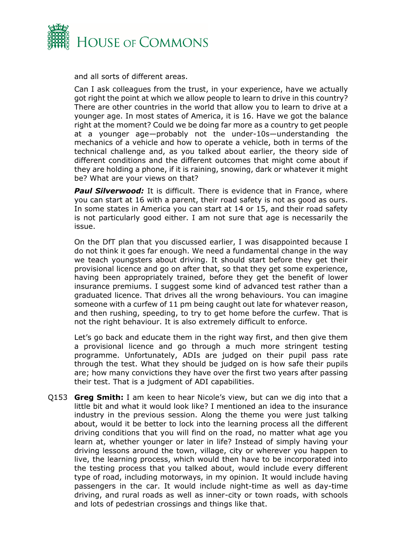

and all sorts of different areas.

Can I ask colleagues from the trust, in your experience, have we actually got right the point at which we allow people to learn to drive in this country? There are other countries in the world that allow you to learn to drive at a younger age. In most states of America, it is 16. Have we got the balance right at the moment? Could we be doing far more as a country to get people at a younger age—probably not the under-10s—understanding the mechanics of a vehicle and how to operate a vehicle, both in terms of the technical challenge and, as you talked about earlier, the theory side of different conditions and the different outcomes that might come about if they are holding a phone, if it is raining, snowing, dark or whatever it might be? What are your views on that?

**Paul Silverwood:** It is difficult. There is evidence that in France, where you can start at 16 with a parent, their road safety is not as good as ours. In some states in America you can start at 14 or 15, and their road safety is not particularly good either. I am not sure that age is necessarily the issue.

On the DfT plan that you discussed earlier, I was disappointed because I do not think it goes far enough. We need a fundamental change in the way we teach youngsters about driving. It should start before they get their provisional licence and go on after that, so that they get some experience, having been appropriately trained, before they get the benefit of lower insurance premiums. I suggest some kind of advanced test rather than a graduated licence. That drives all the wrong behaviours. You can imagine someone with a curfew of 11 pm being caught out late for whatever reason, and then rushing, speeding, to try to get home before the curfew. That is not the right behaviour. It is also extremely difficult to enforce.

Let's go back and educate them in the right way first, and then give them a provisional licence and go through a much more stringent testing programme. Unfortunately, ADIs are judged on their pupil pass rate through the test. What they should be judged on is how safe their pupils are; how many convictions they have over the first two years after passing their test. That is a judgment of ADI capabilities.

Q153 **Greg Smith:** I am keen to hear Nicole's view, but can we dig into that a little bit and what it would look like? I mentioned an idea to the insurance industry in the previous session. Along the theme you were just talking about, would it be better to lock into the learning process all the different driving conditions that you will find on the road, no matter what age you learn at, whether younger or later in life? Instead of simply having your driving lessons around the town, village, city or wherever you happen to live, the learning process, which would then have to be incorporated into the testing process that you talked about, would include every different type of road, including motorways, in my opinion. It would include having passengers in the car. It would include night-time as well as day-time driving, and rural roads as well as inner-city or town roads, with schools and lots of pedestrian crossings and things like that.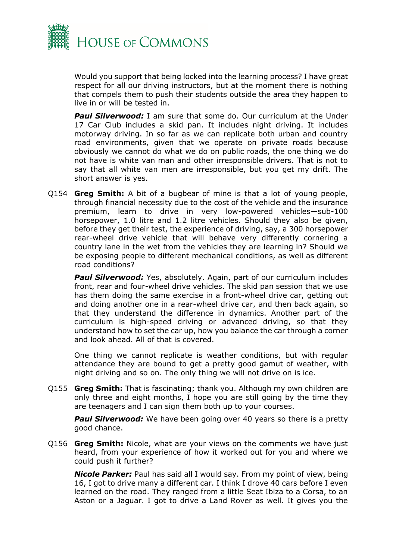

Would you support that being locked into the learning process? I have great respect for all our driving instructors, but at the moment there is nothing that compels them to push their students outside the area they happen to live in or will be tested in.

**Paul Silverwood:** I am sure that some do. Our curriculum at the Under 17 Car Club includes a skid pan. It includes night driving. It includes motorway driving. In so far as we can replicate both urban and country road environments, given that we operate on private roads because obviously we cannot do what we do on public roads, the one thing we do not have is white van man and other irresponsible drivers. That is not to say that all white van men are irresponsible, but you get my drift. The short answer is yes.

Q154 **Greg Smith:** A bit of a bugbear of mine is that a lot of young people, through financial necessity due to the cost of the vehicle and the insurance premium, learn to drive in very low-powered vehicles—sub-100 horsepower, 1.0 litre and 1.2 litre vehicles. Should they also be given, before they get their test, the experience of driving, say, a 300 horsepower rear-wheel drive vehicle that will behave very differently cornering a country lane in the wet from the vehicles they are learning in? Should we be exposing people to different mechanical conditions, as well as different road conditions?

**Paul Silverwood:** Yes, absolutely. Again, part of our curriculum includes front, rear and four-wheel drive vehicles. The skid pan session that we use has them doing the same exercise in a front-wheel drive car, getting out and doing another one in a rear-wheel drive car, and then back again, so that they understand the difference in dynamics. Another part of the curriculum is high-speed driving or advanced driving, so that they understand how to set the car up, how you balance the car through a corner and look ahead. All of that is covered.

One thing we cannot replicate is weather conditions, but with regular attendance they are bound to get a pretty good gamut of weather, with night driving and so on. The only thing we will not drive on is ice.

Q155 **Greg Smith:** That is fascinating; thank you. Although my own children are only three and eight months, I hope you are still going by the time they are teenagers and I can sign them both up to your courses.

**Paul Silverwood:** We have been going over 40 years so there is a pretty good chance.

Q156 **Greg Smith:** Nicole, what are your views on the comments we have just heard, from your experience of how it worked out for you and where we could push it further?

*Nicole Parker:* Paul has said all I would say. From my point of view, being 16, I got to drive many a different car. I think I drove 40 cars before I even learned on the road. They ranged from a little Seat Ibiza to a Corsa, to an Aston or a Jaguar. I got to drive a Land Rover as well. It gives you the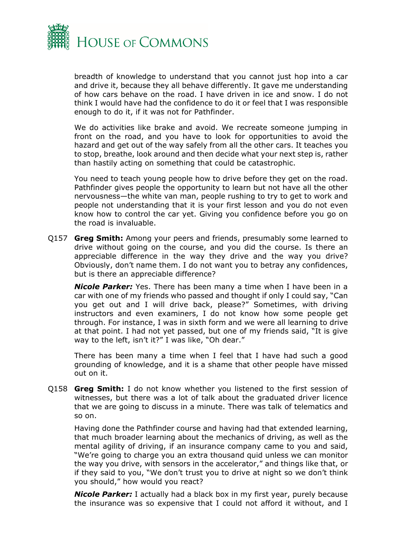

breadth of knowledge to understand that you cannot just hop into a car and drive it, because they all behave differently. It gave me understanding of how cars behave on the road. I have driven in ice and snow. I do not think I would have had the confidence to do it or feel that I was responsible enough to do it, if it was not for Pathfinder.

We do activities like brake and avoid. We recreate someone jumping in front on the road, and you have to look for opportunities to avoid the hazard and get out of the way safely from all the other cars. It teaches you to stop, breathe, look around and then decide what your next step is, rather than hastily acting on something that could be catastrophic.

You need to teach young people how to drive before they get on the road. Pathfinder gives people the opportunity to learn but not have all the other nervousness—the white van man, people rushing to try to get to work and people not understanding that it is your first lesson and you do not even know how to control the car yet. Giving you confidence before you go on the road is invaluable.

Q157 **Greg Smith:** Among your peers and friends, presumably some learned to drive without going on the course, and you did the course. Is there an appreciable difference in the way they drive and the way you drive? Obviously, don't name them. I do not want you to betray any confidences, but is there an appreciable difference?

*Nicole Parker:* Yes. There has been many a time when I have been in a car with one of my friends who passed and thought if only I could say, "Can you get out and I will drive back, please?" Sometimes, with driving instructors and even examiners, I do not know how some people get through. For instance, I was in sixth form and we were all learning to drive at that point. I had not yet passed, but one of my friends said, "It is give way to the left, isn't it?" I was like, "Oh dear."

There has been many a time when I feel that I have had such a good grounding of knowledge, and it is a shame that other people have missed out on it.

Q158 **Greg Smith:** I do not know whether you listened to the first session of witnesses, but there was a lot of talk about the graduated driver licence that we are going to discuss in a minute. There was talk of telematics and so on.

Having done the Pathfinder course and having had that extended learning, that much broader learning about the mechanics of driving, as well as the mental agility of driving, if an insurance company came to you and said, "We're going to charge you an extra thousand quid unless we can monitor the way you drive, with sensors in the accelerator," and things like that, or if they said to you, "We don't trust you to drive at night so we don't think you should," how would you react?

*Nicole Parker:* I actually had a black box in my first year, purely because the insurance was so expensive that I could not afford it without, and I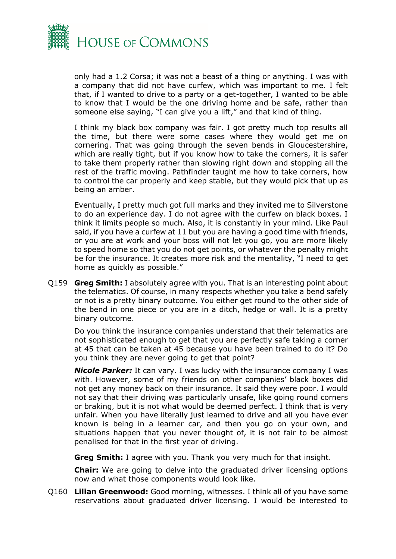

only had a 1.2 Corsa; it was not a beast of a thing or anything. I was with a company that did not have curfew, which was important to me. I felt that, if I wanted to drive to a party or a get-together, I wanted to be able to know that I would be the one driving home and be safe, rather than someone else saying, "I can give you a lift," and that kind of thing.

I think my black box company was fair. I got pretty much top results all the time, but there were some cases where they would get me on cornering. That was going through the seven bends in Gloucestershire, which are really tight, but if you know how to take the corners, it is safer to take them properly rather than slowing right down and stopping all the rest of the traffic moving. Pathfinder taught me how to take corners, how to control the car properly and keep stable, but they would pick that up as being an amber.

Eventually, I pretty much got full marks and they invited me to Silverstone to do an experience day. I do not agree with the curfew on black boxes. I think it limits people so much. Also, it is constantly in your mind. Like Paul said, if you have a curfew at 11 but you are having a good time with friends, or you are at work and your boss will not let you go, you are more likely to speed home so that you do not get points, or whatever the penalty might be for the insurance. It creates more risk and the mentality, "I need to get home as quickly as possible."

Q159 **Greg Smith:** I absolutely agree with you. That is an interesting point about the telematics. Of course, in many respects whether you take a bend safely or not is a pretty binary outcome. You either get round to the other side of the bend in one piece or you are in a ditch, hedge or wall. It is a pretty binary outcome.

Do you think the insurance companies understand that their telematics are not sophisticated enough to get that you are perfectly safe taking a corner at 45 that can be taken at 45 because you have been trained to do it? Do you think they are never going to get that point?

*Nicole Parker:* It can vary. I was lucky with the insurance company I was with. However, some of my friends on other companies' black boxes did not get any money back on their insurance. It said they were poor. I would not say that their driving was particularly unsafe, like going round corners or braking, but it is not what would be deemed perfect. I think that is very unfair. When you have literally just learned to drive and all you have ever known is being in a learner car, and then you go on your own, and situations happen that you never thought of, it is not fair to be almost penalised for that in the first year of driving.

**Greg Smith:** I agree with you. Thank you very much for that insight.

**Chair:** We are going to delve into the graduated driver licensing options now and what those components would look like.

Q160 **Lilian Greenwood:** Good morning, witnesses. I think all of you have some reservations about graduated driver licensing. I would be interested to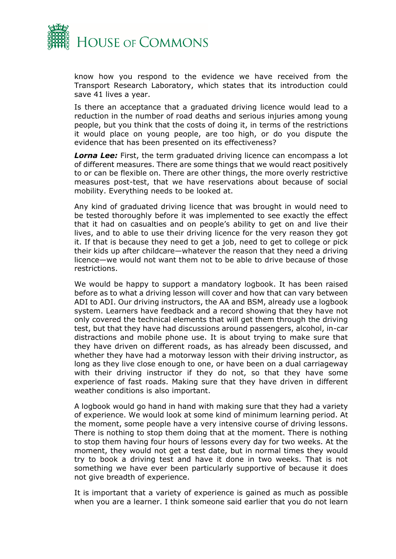

know how you respond to the evidence we have received from the Transport Research Laboratory, which states that its introduction could save 41 lives a year.

Is there an acceptance that a graduated driving licence would lead to a reduction in the number of road deaths and serious injuries among young people, but you think that the costs of doing it, in terms of the restrictions it would place on young people, are too high, or do you dispute the evidence that has been presented on its effectiveness?

**Lorna Lee:** First, the term graduated driving licence can encompass a lot of different measures. There are some things that we would react positively to or can be flexible on. There are other things, the more overly restrictive measures post-test, that we have reservations about because of social mobility. Everything needs to be looked at.

Any kind of graduated driving licence that was brought in would need to be tested thoroughly before it was implemented to see exactly the effect that it had on casualties and on people's ability to get on and live their lives, and to able to use their driving licence for the very reason they got it. If that is because they need to get a job, need to get to college or pick their kids up after childcare—whatever the reason that they need a driving licence—we would not want them not to be able to drive because of those restrictions.

We would be happy to support a mandatory logbook. It has been raised before as to what a driving lesson will cover and how that can vary between ADI to ADI. Our driving instructors, the AA and BSM, already use a logbook system. Learners have feedback and a record showing that they have not only covered the technical elements that will get them through the driving test, but that they have had discussions around passengers, alcohol, in-car distractions and mobile phone use. It is about trying to make sure that they have driven on different roads, as has already been discussed, and whether they have had a motorway lesson with their driving instructor, as long as they live close enough to one, or have been on a dual carriageway with their driving instructor if they do not, so that they have some experience of fast roads. Making sure that they have driven in different weather conditions is also important.

A logbook would go hand in hand with making sure that they had a variety of experience. We would look at some kind of minimum learning period. At the moment, some people have a very intensive course of driving lessons. There is nothing to stop them doing that at the moment. There is nothing to stop them having four hours of lessons every day for two weeks. At the moment, they would not get a test date, but in normal times they would try to book a driving test and have it done in two weeks. That is not something we have ever been particularly supportive of because it does not give breadth of experience.

It is important that a variety of experience is gained as much as possible when you are a learner. I think someone said earlier that you do not learn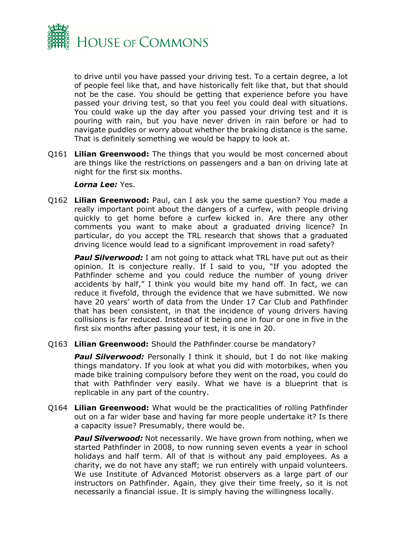

to drive until you have passed your driving test. To a certain degree, a lot of people feel like that, and have historically felt like that, but that should not be the case. You should be getting that experience before you have passed your driving test, so that you feel you could deal with situations. You could wake up the day after you passed your driving test and it is pouring with rain, but you have never driven in rain before or had to navigate puddles or worry about whether the braking distance is the same. That is definitely something we would be happy to look at.

Q161 **Lilian Greenwood:** The things that you would be most concerned about are things like the restrictions on passengers and a ban on driving late at night for the first six months.

#### *Lorna Lee:* Yes.

Q162 **Lilian Greenwood:** Paul, can I ask you the same question? You made a really important point about the dangers of a curfew, with people driving quickly to get home before a curfew kicked in. Are there any other comments you want to make about a graduated driving licence? In particular, do you accept the TRL research that shows that a graduated driving licence would lead to a significant improvement in road safety?

**Paul Silverwood:** I am not going to attack what TRL have put out as their opinion. It is conjecture really. If I said to you, "If you adopted the Pathfinder scheme and you could reduce the number of young driver accidents by half," I think you would bite my hand off. In fact, we can reduce it fivefold, through the evidence that we have submitted. We now have 20 years' worth of data from the Under 17 Car Club and Pathfinder that has been consistent, in that the incidence of young drivers having collisions is far reduced. Instead of it being one in four or one in five in the first six months after passing your test, it is one in 20.

Q163 **Lilian Greenwood:** Should the Pathfinder course be mandatory?

**Paul Silverwood:** Personally I think it should, but I do not like making things mandatory. If you look at what you did with motorbikes, when you made bike training compulsory before they went on the road, you could do that with Pathfinder very easily. What we have is a blueprint that is replicable in any part of the country.

Q164 **Lilian Greenwood:** What would be the practicalities of rolling Pathfinder out on a far wider base and having far more people undertake it? Is there a capacity issue? Presumably, there would be.

**Paul Silverwood:** Not necessarily. We have grown from nothing, when we started Pathfinder in 2008, to now running seven events a year in school holidays and half term. All of that is without any paid employees. As a charity, we do not have any staff; we run entirely with unpaid volunteers. We use Institute of Advanced Motorist observers as a large part of our instructors on Pathfinder. Again, they give their time freely, so it is not necessarily a financial issue. It is simply having the willingness locally.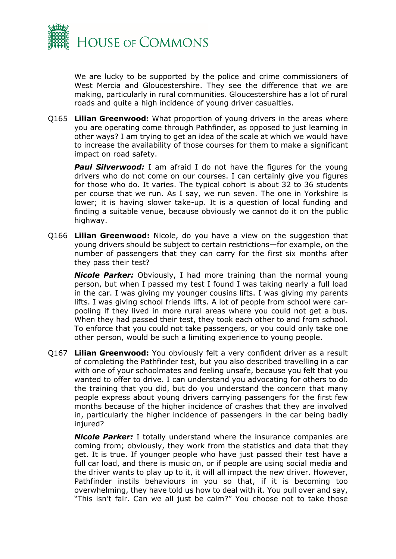

We are lucky to be supported by the police and crime commissioners of West Mercia and Gloucestershire. They see the difference that we are making, particularly in rural communities. Gloucestershire has a lot of rural roads and quite a high incidence of young driver casualties.

Q165 **Lilian Greenwood:** What proportion of young drivers in the areas where you are operating come through Pathfinder, as opposed to just learning in other ways? I am trying to get an idea of the scale at which we would have to increase the availability of those courses for them to make a significant impact on road safety.

**Paul Silverwood:** I am afraid I do not have the figures for the young drivers who do not come on our courses. I can certainly give you figures for those who do. It varies. The typical cohort is about 32 to 36 students per course that we run. As I say, we run seven. The one in Yorkshire is lower; it is having slower take-up. It is a question of local funding and finding a suitable venue, because obviously we cannot do it on the public highway.

Q166 **Lilian Greenwood:** Nicole, do you have a view on the suggestion that young drivers should be subject to certain restrictions—for example, on the number of passengers that they can carry for the first six months after they pass their test?

*Nicole Parker:* Obviously, I had more training than the normal young person, but when I passed my test I found I was taking nearly a full load in the car. I was giving my younger cousins lifts. I was giving my parents lifts. I was giving school friends lifts. A lot of people from school were carpooling if they lived in more rural areas where you could not get a bus. When they had passed their test, they took each other to and from school. To enforce that you could not take passengers, or you could only take one other person, would be such a limiting experience to young people.

Q167 **Lilian Greenwood:** You obviously felt a very confident driver as a result of completing the Pathfinder test, but you also described travelling in a car with one of your schoolmates and feeling unsafe, because you felt that you wanted to offer to drive. I can understand you advocating for others to do the training that you did, but do you understand the concern that many people express about young drivers carrying passengers for the first few months because of the higher incidence of crashes that they are involved in, particularly the higher incidence of passengers in the car being badly injured?

*Nicole Parker:* I totally understand where the insurance companies are coming from; obviously, they work from the statistics and data that they get. It is true. If younger people who have just passed their test have a full car load, and there is music on, or if people are using social media and the driver wants to play up to it, it will all impact the new driver. However, Pathfinder instils behaviours in you so that, if it is becoming too overwhelming, they have told us how to deal with it. You pull over and say, "This isn't fair. Can we all just be calm?" You choose not to take those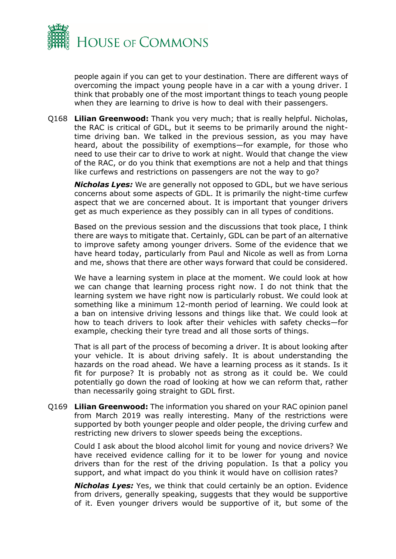

people again if you can get to your destination. There are different ways of overcoming the impact young people have in a car with a young driver. I think that probably one of the most important things to teach young people when they are learning to drive is how to deal with their passengers.

Q168 **Lilian Greenwood:** Thank you very much; that is really helpful. Nicholas, the RAC is critical of GDL, but it seems to be primarily around the nighttime driving ban. We talked in the previous session, as you may have heard, about the possibility of exemptions—for example, for those who need to use their car to drive to work at night. Would that change the view of the RAC, or do you think that exemptions are not a help and that things like curfews and restrictions on passengers are not the way to go?

*Nicholas Lyes:* We are generally not opposed to GDL, but we have serious concerns about some aspects of GDL. It is primarily the night-time curfew aspect that we are concerned about. It is important that younger drivers get as much experience as they possibly can in all types of conditions.

Based on the previous session and the discussions that took place, I think there are ways to mitigate that. Certainly, GDL can be part of an alternative to improve safety among younger drivers. Some of the evidence that we have heard today, particularly from Paul and Nicole as well as from Lorna and me, shows that there are other ways forward that could be considered.

We have a learning system in place at the moment. We could look at how we can change that learning process right now. I do not think that the learning system we have right now is particularly robust. We could look at something like a minimum 12-month period of learning. We could look at a ban on intensive driving lessons and things like that. We could look at how to teach drivers to look after their vehicles with safety checks—for example, checking their tyre tread and all those sorts of things.

That is all part of the process of becoming a driver. It is about looking after your vehicle. It is about driving safely. It is about understanding the hazards on the road ahead. We have a learning process as it stands. Is it fit for purpose? It is probably not as strong as it could be. We could potentially go down the road of looking at how we can reform that, rather than necessarily going straight to GDL first.

Q169 **Lilian Greenwood:** The information you shared on your RAC opinion panel from March 2019 was really interesting. Many of the restrictions were supported by both younger people and older people, the driving curfew and restricting new drivers to slower speeds being the exceptions.

Could I ask about the blood alcohol limit for young and novice drivers? We have received evidence calling for it to be lower for young and novice drivers than for the rest of the driving population. Is that a policy you support, and what impact do you think it would have on collision rates?

*Nicholas Lyes:* Yes, we think that could certainly be an option. Evidence from drivers, generally speaking, suggests that they would be supportive of it. Even younger drivers would be supportive of it, but some of the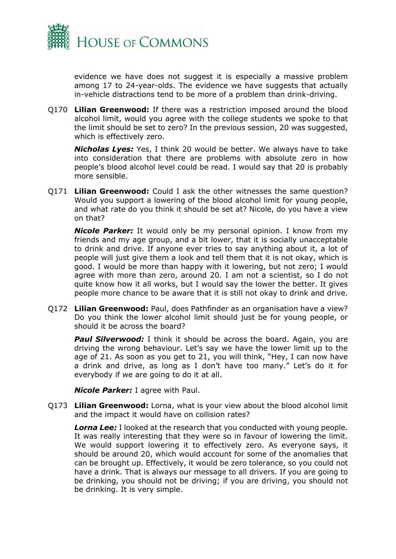

evidence we have does not suggest it is especially a massive problem among 17 to 24-year-olds. The evidence we have suggests that actually in-vehicle distractions tend to be more of a problem than drink-driving.

Q170 **Lilian Greenwood:** If there was a restriction imposed around the blood alcohol limit, would you agree with the college students we spoke to that the limit should be set to zero? In the previous session, 20 was suggested, which is effectively zero.

*Nicholas Lyes:* Yes, I think 20 would be better. We always have to take into consideration that there are problems with absolute zero in how people's blood alcohol level could be read. I would say that 20 is probably more sensible.

Q171 **Lilian Greenwood:** Could I ask the other witnesses the same question? Would you support a lowering of the blood alcohol limit for young people, and what rate do you think it should be set at? Nicole, do you have a view on that?

*Nicole Parker:* It would only be my personal opinion. I know from my friends and my age group, and a bit lower, that it is socially unacceptable to drink and drive. If anyone ever tries to say anything about it, a lot of people will just give them a look and tell them that it is not okay, which is good. I would be more than happy with it lowering, but not zero; I would agree with more than zero, around 20. I am not a scientist, so I do not quite know how it all works, but I would say the lower the better. It gives people more chance to be aware that it is still not okay to drink and drive.

Q172 **Lilian Greenwood:** Paul, does Pathfinder as an organisation have a view? Do you think the lower alcohol limit should just be for young people, or should it be across the board?

**Paul Silverwood:** I think it should be across the board. Again, you are driving the wrong behaviour. Let's say we have the lower limit up to the age of 21. As soon as you get to 21, you will think, "Hey, I can now have a drink and drive, as long as I don't have too many." Let's do it for everybody if we are going to do it at all.

*Nicole Parker:* I agree with Paul.

Q173 **Lilian Greenwood:** Lorna, what is your view about the blood alcohol limit and the impact it would have on collision rates?

**Lorna Lee:** I looked at the research that you conducted with young people. It was really interesting that they were so in favour of lowering the limit. We would support lowering it to effectively zero. As everyone says, it should be around 20, which would account for some of the anomalies that can be brought up. Effectively, it would be zero tolerance, so you could not have a drink. That is always our message to all drivers. If you are going to be drinking, you should not be driving; if you are driving, you should not be drinking. It is very simple.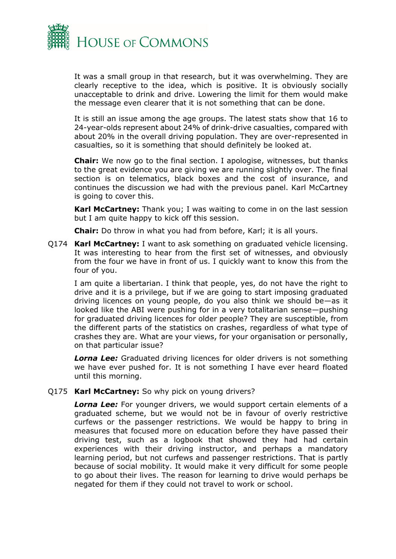

It was a small group in that research, but it was overwhelming. They are clearly receptive to the idea, which is positive. It is obviously socially unacceptable to drink and drive. Lowering the limit for them would make the message even clearer that it is not something that can be done.

It is still an issue among the age groups. The latest stats show that 16 to 24-year-olds represent about 24% of drink-drive casualties, compared with about 20% in the overall driving population. They are over-represented in casualties, so it is something that should definitely be looked at.

**Chair:** We now go to the final section. I apologise, witnesses, but thanks to the great evidence you are giving we are running slightly over. The final section is on telematics, black boxes and the cost of insurance, and continues the discussion we had with the previous panel. Karl McCartney is going to cover this.

**Karl McCartney:** Thank you; I was waiting to come in on the last session but I am quite happy to kick off this session.

**Chair:** Do throw in what you had from before, Karl; it is all yours.

Q174 **Karl McCartney:** I want to ask something on graduated vehicle licensing. It was interesting to hear from the first set of witnesses, and obviously from the four we have in front of us. I quickly want to know this from the four of you.

I am quite a libertarian. I think that people, yes, do not have the right to drive and it is a privilege, but if we are going to start imposing graduated driving licences on young people, do you also think we should be—as it looked like the ABI were pushing for in a very totalitarian sense—pushing for graduated driving licences for older people? They are susceptible, from the different parts of the statistics on crashes, regardless of what type of crashes they are. What are your views, for your organisation or personally, on that particular issue?

*Lorna Lee:* Graduated driving licences for older drivers is not something we have ever pushed for. It is not something I have ever heard floated until this morning.

Q175 **Karl McCartney:** So why pick on young drivers?

**Lorna Lee:** For younger drivers, we would support certain elements of a graduated scheme, but we would not be in favour of overly restrictive curfews or the passenger restrictions. We would be happy to bring in measures that focused more on education before they have passed their driving test, such as a logbook that showed they had had certain experiences with their driving instructor, and perhaps a mandatory learning period, but not curfews and passenger restrictions. That is partly because of social mobility. It would make it very difficult for some people to go about their lives. The reason for learning to drive would perhaps be negated for them if they could not travel to work or school.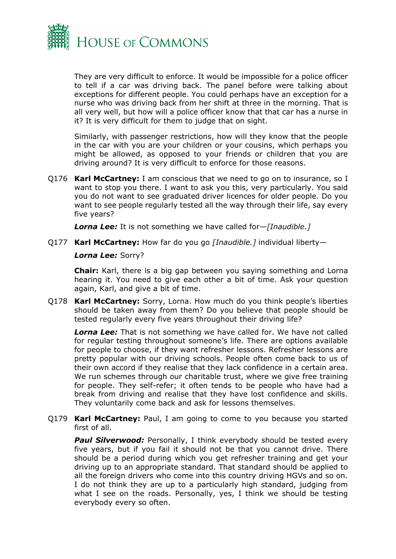

They are very difficult to enforce. It would be impossible for a police officer to tell if a car was driving back. The panel before were talking about exceptions for different people. You could perhaps have an exception for a nurse who was driving back from her shift at three in the morning. That is all very well, but how will a police officer know that that car has a nurse in it? It is very difficult for them to judge that on sight.

Similarly, with passenger restrictions, how will they know that the people in the car with you are your children or your cousins, which perhaps you might be allowed, as opposed to your friends or children that you are driving around? It is very difficult to enforce for those reasons.

Q176 **Karl McCartney:** I am conscious that we need to go on to insurance, so I want to stop you there. I want to ask you this, very particularly. You said you do not want to see graduated driver licences for older people. Do you want to see people regularly tested all the way through their life, say every five years?

*Lorna Lee:* It is not something we have called for—*[Inaudible.]*

#### Q177 **Karl McCartney:** How far do you go *[Inaudible.]* individual liberty—

#### *Lorna Lee:* Sorry?

**Chair:** Karl, there is a big gap between you saying something and Lorna hearing it. You need to give each other a bit of time. Ask your question again, Karl, and give a bit of time.

Q178 **Karl McCartney:** Sorry, Lorna. How much do you think people's liberties should be taken away from them? Do you believe that people should be tested regularly every five years throughout their driving life?

*Lorna Lee:* That is not something we have called for. We have not called for regular testing throughout someone's life. There are options available for people to choose, if they want refresher lessons. Refresher lessons are pretty popular with our driving schools. People often come back to us of their own accord if they realise that they lack confidence in a certain area. We run schemes through our charitable trust, where we give free training for people. They self-refer; it often tends to be people who have had a break from driving and realise that they have lost confidence and skills. They voluntarily come back and ask for lessons themselves.

Q179 **Karl McCartney:** Paul, I am going to come to you because you started first of all.

**Paul Silverwood:** Personally, I think everybody should be tested every five years, but if you fail it should not be that you cannot drive. There should be a period during which you get refresher training and get your driving up to an appropriate standard. That standard should be applied to all the foreign drivers who come into this country driving HGVs and so on. I do not think they are up to a particularly high standard, judging from what I see on the roads. Personally, yes, I think we should be testing everybody every so often.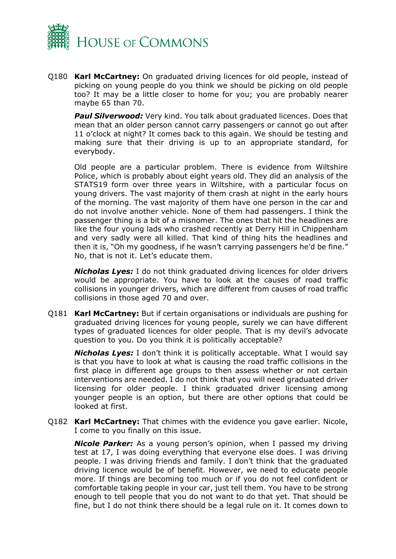

Q180 **Karl McCartney:** On graduated driving licences for old people, instead of picking on young people do you think we should be picking on old people too? It may be a little closer to home for you; you are probably nearer maybe 65 than 70.

**Paul Silverwood:** Very kind. You talk about graduated licences. Does that mean that an older person cannot carry passengers or cannot go out after 11 o'clock at night? It comes back to this again. We should be testing and making sure that their driving is up to an appropriate standard, for everybody.

Old people are a particular problem. There is evidence from Wiltshire Police, which is probably about eight years old. They did an analysis of the STATS19 form over three years in Wiltshire, with a particular focus on young drivers. The vast majority of them crash at night in the early hours of the morning. The vast majority of them have one person in the car and do not involve another vehicle. None of them had passengers. I think the passenger thing is a bit of a misnomer. The ones that hit the headlines are like the four young lads who crashed recently at Derry Hill in Chippenham and very sadly were all killed. That kind of thing hits the headlines and then it is, "Oh my goodness, if he wasn't carrying passengers he'd be fine." No, that is not it. Let's educate them.

*Nicholas Lyes:* I do not think graduated driving licences for older drivers would be appropriate. You have to look at the causes of road traffic collisions in younger drivers, which are different from causes of road traffic collisions in those aged 70 and over.

Q181 **Karl McCartney:** But if certain organisations or individuals are pushing for graduated driving licences for young people, surely we can have different types of graduated licences for older people. That is my devil's advocate question to you. Do you think it is politically acceptable?

*Nicholas Lyes:* I don't think it is politically acceptable. What I would say is that you have to look at what is causing the road traffic collisions in the first place in different age groups to then assess whether or not certain interventions are needed. I do not think that you will need graduated driver licensing for older people. I think graduated driver licensing among younger people is an option, but there are other options that could be looked at first.

Q182 **Karl McCartney:** That chimes with the evidence you gave earlier. Nicole, I come to you finally on this issue.

*Nicole Parker:* As a young person's opinion, when I passed my driving test at 17, I was doing everything that everyone else does. I was driving people. I was driving friends and family. I don't think that the graduated driving licence would be of benefit. However, we need to educate people more. If things are becoming too much or if you do not feel confident or comfortable taking people in your car, just tell them. You have to be strong enough to tell people that you do not want to do that yet. That should be fine, but I do not think there should be a legal rule on it. It comes down to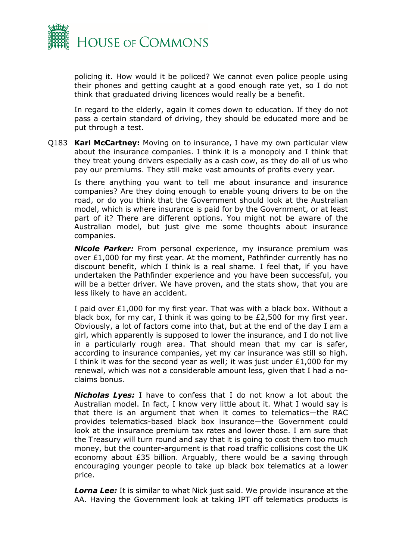

policing it. How would it be policed? We cannot even police people using their phones and getting caught at a good enough rate yet, so I do not think that graduated driving licences would really be a benefit.

In regard to the elderly, again it comes down to education. If they do not pass a certain standard of driving, they should be educated more and be put through a test.

Q183 **Karl McCartney:** Moving on to insurance, I have my own particular view about the insurance companies. I think it is a monopoly and I think that they treat young drivers especially as a cash cow, as they do all of us who pay our premiums. They still make vast amounts of profits every year.

Is there anything you want to tell me about insurance and insurance companies? Are they doing enough to enable young drivers to be on the road, or do you think that the Government should look at the Australian model, which is where insurance is paid for by the Government, or at least part of it? There are different options. You might not be aware of the Australian model, but just give me some thoughts about insurance companies.

*Nicole Parker:* From personal experience, my insurance premium was over £1,000 for my first year. At the moment, Pathfinder currently has no discount benefit, which I think is a real shame. I feel that, if you have undertaken the Pathfinder experience and you have been successful, you will be a better driver. We have proven, and the stats show, that you are less likely to have an accident.

I paid over £1,000 for my first year. That was with a black box. Without a black box, for my car, I think it was going to be £2,500 for my first year. Obviously, a lot of factors come into that, but at the end of the day I am a girl, which apparently is supposed to lower the insurance, and I do not live in a particularly rough area. That should mean that my car is safer, according to insurance companies, yet my car insurance was still so high. I think it was for the second year as well; it was just under  $£1,000$  for my renewal, which was not a considerable amount less, given that I had a noclaims bonus.

*Nicholas Lyes:* I have to confess that I do not know a lot about the Australian model. In fact, I know very little about it. What I would say is that there is an argument that when it comes to telematics—the RAC provides telematics-based black box insurance—the Government could look at the insurance premium tax rates and lower those. I am sure that the Treasury will turn round and say that it is going to cost them too much money, but the counter-argument is that road traffic collisions cost the UK economy about £35 billion. Arguably, there would be a saving through encouraging younger people to take up black box telematics at a lower price.

**Lorna Lee:** It is similar to what Nick just said. We provide insurance at the AA. Having the Government look at taking IPT off telematics products is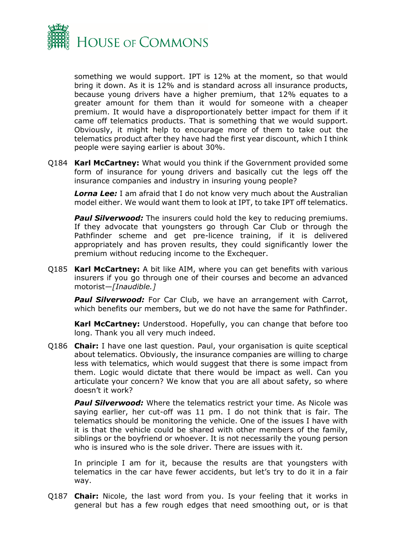

something we would support. IPT is 12% at the moment, so that would bring it down. As it is 12% and is standard across all insurance products, because young drivers have a higher premium, that 12% equates to a greater amount for them than it would for someone with a cheaper premium. It would have a disproportionately better impact for them if it came off telematics products. That is something that we would support. Obviously, it might help to encourage more of them to take out the telematics product after they have had the first year discount, which I think people were saying earlier is about 30%.

Q184 **Karl McCartney:** What would you think if the Government provided some form of insurance for young drivers and basically cut the legs off the insurance companies and industry in insuring young people?

*Lorna Lee:* I am afraid that I do not know very much about the Australian model either. We would want them to look at IPT, to take IPT off telematics.

**Paul Silverwood:** The insurers could hold the key to reducing premiums. If they advocate that youngsters go through Car Club or through the Pathfinder scheme and get pre-licence training, if it is delivered appropriately and has proven results, they could significantly lower the premium without reducing income to the Exchequer.

Q185 **Karl McCartney:** A bit like AIM, where you can get benefits with various insurers if you go through one of their courses and become an advanced motorist—*[Inaudible.]*

**Paul Silverwood:** For Car Club, we have an arrangement with Carrot, which benefits our members, but we do not have the same for Pathfinder.

**Karl McCartney:** Understood. Hopefully, you can change that before too long. Thank you all very much indeed.

Q186 **Chair:** I have one last question. Paul, your organisation is quite sceptical about telematics. Obviously, the insurance companies are willing to charge less with telematics, which would suggest that there is some impact from them. Logic would dictate that there would be impact as well. Can you articulate your concern? We know that you are all about safety, so where doesn't it work?

*Paul Silverwood:* Where the telematics restrict your time. As Nicole was saying earlier, her cut-off was 11 pm. I do not think that is fair. The telematics should be monitoring the vehicle. One of the issues I have with it is that the vehicle could be shared with other members of the family, siblings or the boyfriend or whoever. It is not necessarily the young person who is insured who is the sole driver. There are issues with it.

In principle I am for it, because the results are that youngsters with telematics in the car have fewer accidents, but let's try to do it in a fair way.

Q187 **Chair:** Nicole, the last word from you. Is your feeling that it works in general but has a few rough edges that need smoothing out, or is that